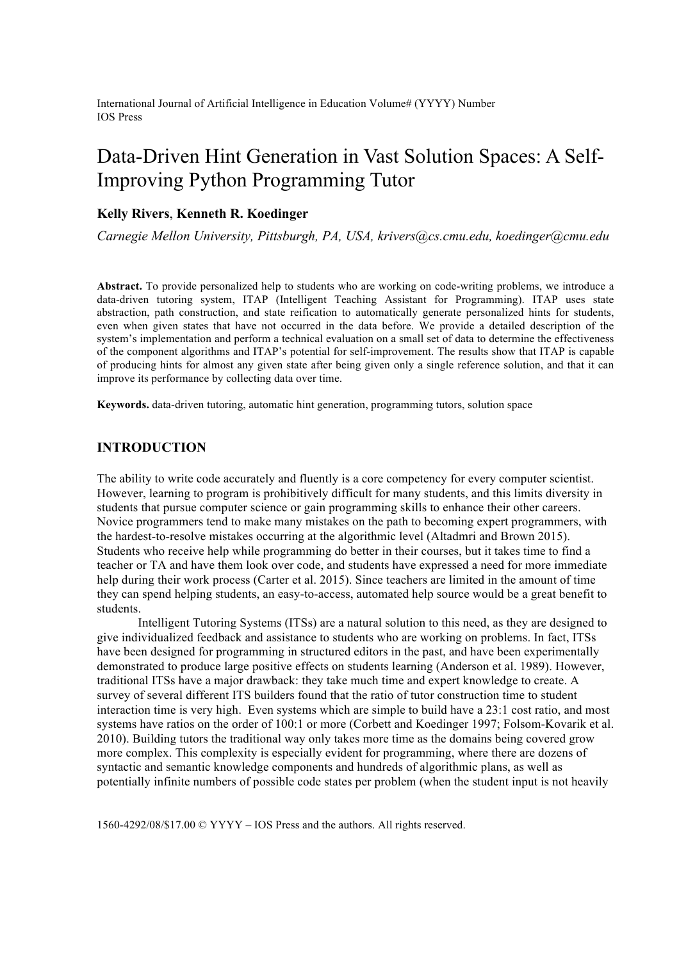International Journal of Artificial Intelligence in Education Volume# (YYYY) Number IOS Press

# Data-Driven Hint Generation in Vast Solution Spaces: A Self-Improving Python Programming Tutor

## **Kelly Rivers**, **Kenneth R. Koedinger**

*Carnegie Mellon University, Pittsburgh, PA, USA, krivers@cs.cmu.edu, koedinger@cmu.edu*

**Abstract.** To provide personalized help to students who are working on code-writing problems, we introduce a data-driven tutoring system, ITAP (Intelligent Teaching Assistant for Programming). ITAP uses state abstraction, path construction, and state reification to automatically generate personalized hints for students, even when given states that have not occurred in the data before. We provide a detailed description of the system's implementation and perform a technical evaluation on a small set of data to determine the effectiveness of the component algorithms and ITAP's potential for self-improvement. The results show that ITAP is capable of producing hints for almost any given state after being given only a single reference solution, and that it can improve its performance by collecting data over time.

**Keywords.** data-driven tutoring, automatic hint generation, programming tutors, solution space

## **INTRODUCTION**

The ability to write code accurately and fluently is a core competency for every computer scientist. However, learning to program is prohibitively difficult for many students, and this limits diversity in students that pursue computer science or gain programming skills to enhance their other careers. Novice programmers tend to make many mistakes on the path to becoming expert programmers, with the hardest-to-resolve mistakes occurring at the algorithmic level (Altadmri and Brown 2015). Students who receive help while programming do better in their courses, but it takes time to find a teacher or TA and have them look over code, and students have expressed a need for more immediate help during their work process (Carter et al. 2015). Since teachers are limited in the amount of time they can spend helping students, an easy-to-access, automated help source would be a great benefit to students.

Intelligent Tutoring Systems (ITSs) are a natural solution to this need, as they are designed to give individualized feedback and assistance to students who are working on problems. In fact, ITSs have been designed for programming in structured editors in the past, and have been experimentally demonstrated to produce large positive effects on students learning (Anderson et al. 1989). However, traditional ITSs have a major drawback: they take much time and expert knowledge to create. A survey of several different ITS builders found that the ratio of tutor construction time to student interaction time is very high. Even systems which are simple to build have a 23:1 cost ratio, and most systems have ratios on the order of 100:1 or more (Corbett and Koedinger 1997; Folsom-Kovarik et al. 2010). Building tutors the traditional way only takes more time as the domains being covered grow more complex. This complexity is especially evident for programming, where there are dozens of syntactic and semantic knowledge components and hundreds of algorithmic plans, as well as potentially infinite numbers of possible code states per problem (when the student input is not heavily

1560-4292/08/\$17.00 © YYYY – IOS Press and the authors. All rights reserved.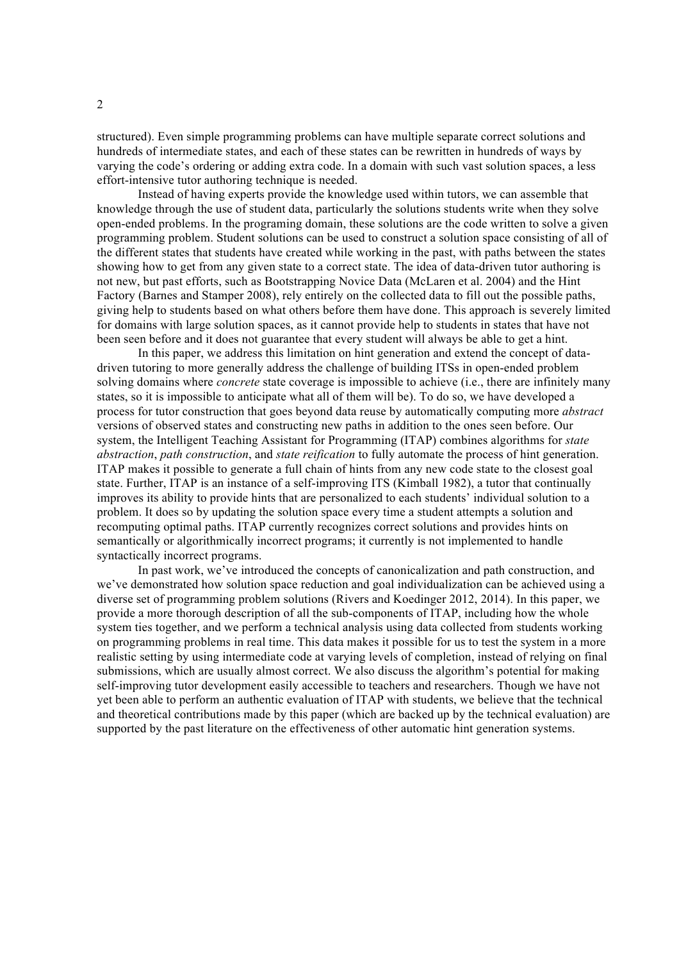structured). Even simple programming problems can have multiple separate correct solutions and hundreds of intermediate states, and each of these states can be rewritten in hundreds of ways by varying the code's ordering or adding extra code. In a domain with such vast solution spaces, a less effort-intensive tutor authoring technique is needed.

Instead of having experts provide the knowledge used within tutors, we can assemble that knowledge through the use of student data, particularly the solutions students write when they solve open-ended problems. In the programing domain, these solutions are the code written to solve a given programming problem. Student solutions can be used to construct a solution space consisting of all of the different states that students have created while working in the past, with paths between the states showing how to get from any given state to a correct state. The idea of data-driven tutor authoring is not new, but past efforts, such as Bootstrapping Novice Data (McLaren et al. 2004) and the Hint Factory (Barnes and Stamper 2008), rely entirely on the collected data to fill out the possible paths, giving help to students based on what others before them have done. This approach is severely limited for domains with large solution spaces, as it cannot provide help to students in states that have not been seen before and it does not guarantee that every student will always be able to get a hint.

In this paper, we address this limitation on hint generation and extend the concept of datadriven tutoring to more generally address the challenge of building ITSs in open-ended problem solving domains where *concrete* state coverage is impossible to achieve (i.e., there are infinitely many states, so it is impossible to anticipate what all of them will be). To do so, we have developed a process for tutor construction that goes beyond data reuse by automatically computing more *abstract* versions of observed states and constructing new paths in addition to the ones seen before. Our system, the Intelligent Teaching Assistant for Programming (ITAP) combines algorithms for *state abstraction*, *path construction*, and *state reification* to fully automate the process of hint generation. ITAP makes it possible to generate a full chain of hints from any new code state to the closest goal state. Further, ITAP is an instance of a self-improving ITS (Kimball 1982), a tutor that continually improves its ability to provide hints that are personalized to each students' individual solution to a problem. It does so by updating the solution space every time a student attempts a solution and recomputing optimal paths. ITAP currently recognizes correct solutions and provides hints on semantically or algorithmically incorrect programs; it currently is not implemented to handle syntactically incorrect programs.

In past work, we've introduced the concepts of canonicalization and path construction, and we've demonstrated how solution space reduction and goal individualization can be achieved using a diverse set of programming problem solutions (Rivers and Koedinger 2012, 2014). In this paper, we provide a more thorough description of all the sub-components of ITAP, including how the whole system ties together, and we perform a technical analysis using data collected from students working on programming problems in real time. This data makes it possible for us to test the system in a more realistic setting by using intermediate code at varying levels of completion, instead of relying on final submissions, which are usually almost correct. We also discuss the algorithm's potential for making self-improving tutor development easily accessible to teachers and researchers. Though we have not yet been able to perform an authentic evaluation of ITAP with students, we believe that the technical and theoretical contributions made by this paper (which are backed up by the technical evaluation) are supported by the past literature on the effectiveness of other automatic hint generation systems.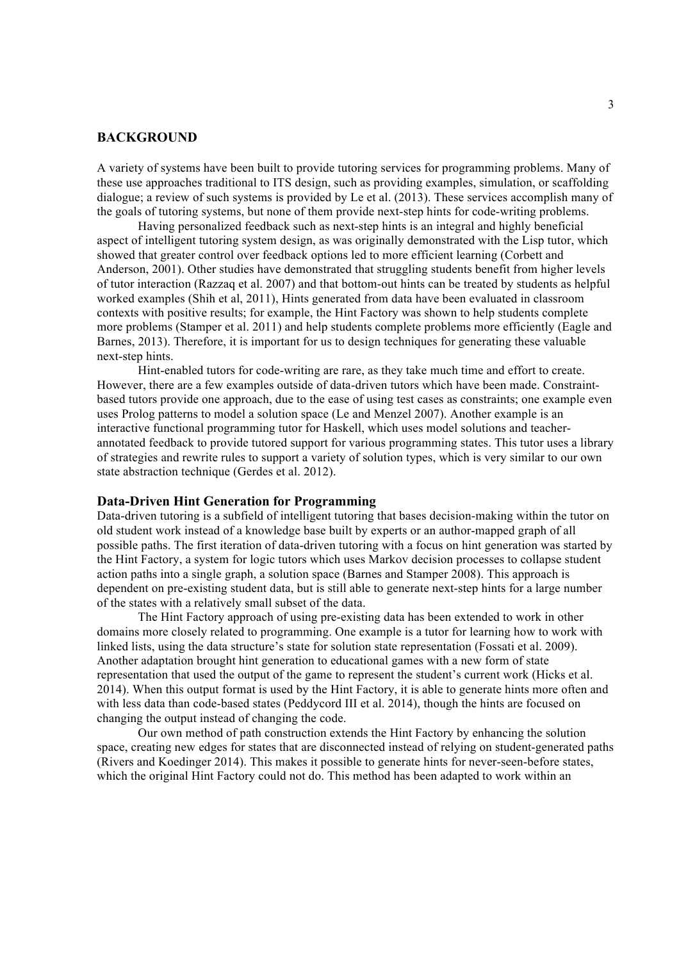### **BACKGROUND**

A variety of systems have been built to provide tutoring services for programming problems. Many of these use approaches traditional to ITS design, such as providing examples, simulation, or scaffolding dialogue; a review of such systems is provided by Le et al. (2013). These services accomplish many of the goals of tutoring systems, but none of them provide next-step hints for code-writing problems.

Having personalized feedback such as next-step hints is an integral and highly beneficial aspect of intelligent tutoring system design, as was originally demonstrated with the Lisp tutor, which showed that greater control over feedback options led to more efficient learning (Corbett and Anderson, 2001). Other studies have demonstrated that struggling students benefit from higher levels of tutor interaction (Razzaq et al. 2007) and that bottom-out hints can be treated by students as helpful worked examples (Shih et al, 2011), Hints generated from data have been evaluated in classroom contexts with positive results; for example, the Hint Factory was shown to help students complete more problems (Stamper et al. 2011) and help students complete problems more efficiently (Eagle and Barnes, 2013). Therefore, it is important for us to design techniques for generating these valuable next-step hints.

Hint-enabled tutors for code-writing are rare, as they take much time and effort to create. However, there are a few examples outside of data-driven tutors which have been made. Constraintbased tutors provide one approach, due to the ease of using test cases as constraints; one example even uses Prolog patterns to model a solution space (Le and Menzel 2007). Another example is an interactive functional programming tutor for Haskell, which uses model solutions and teacherannotated feedback to provide tutored support for various programming states. This tutor uses a library of strategies and rewrite rules to support a variety of solution types, which is very similar to our own state abstraction technique (Gerdes et al. 2012).

#### **Data-Driven Hint Generation for Programming**

Data-driven tutoring is a subfield of intelligent tutoring that bases decision-making within the tutor on old student work instead of a knowledge base built by experts or an author-mapped graph of all possible paths. The first iteration of data-driven tutoring with a focus on hint generation was started by the Hint Factory, a system for logic tutors which uses Markov decision processes to collapse student action paths into a single graph, a solution space (Barnes and Stamper 2008). This approach is dependent on pre-existing student data, but is still able to generate next-step hints for a large number of the states with a relatively small subset of the data.

The Hint Factory approach of using pre-existing data has been extended to work in other domains more closely related to programming. One example is a tutor for learning how to work with linked lists, using the data structure's state for solution state representation (Fossati et al. 2009). Another adaptation brought hint generation to educational games with a new form of state representation that used the output of the game to represent the student's current work (Hicks et al. 2014). When this output format is used by the Hint Factory, it is able to generate hints more often and with less data than code-based states (Peddycord III et al. 2014), though the hints are focused on changing the output instead of changing the code.

Our own method of path construction extends the Hint Factory by enhancing the solution space, creating new edges for states that are disconnected instead of relying on student-generated paths (Rivers and Koedinger 2014). This makes it possible to generate hints for never-seen-before states, which the original Hint Factory could not do. This method has been adapted to work within an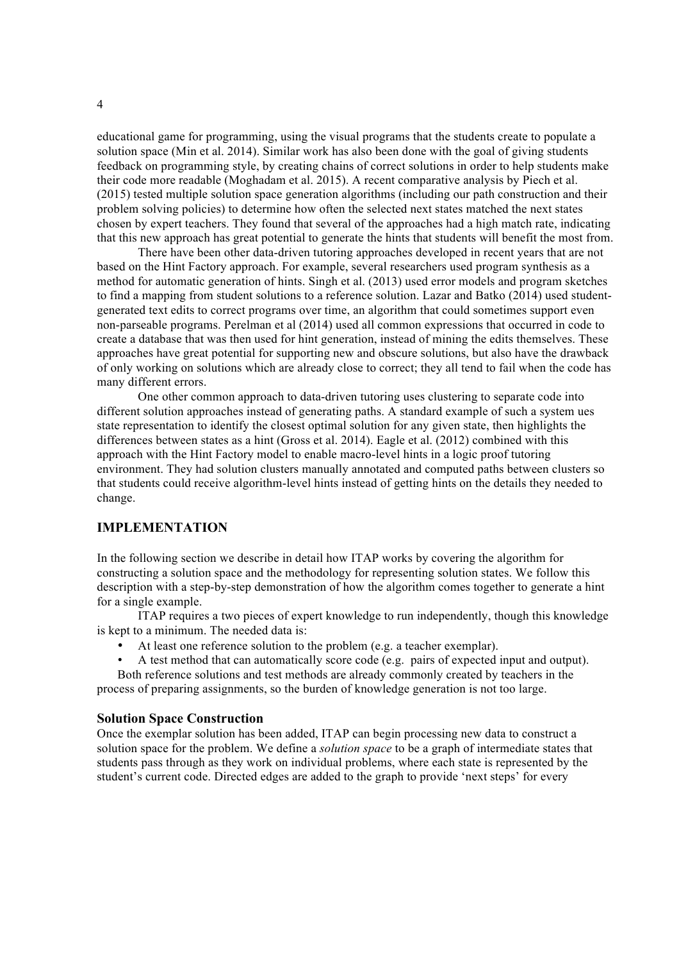educational game for programming, using the visual programs that the students create to populate a solution space (Min et al. 2014). Similar work has also been done with the goal of giving students feedback on programming style, by creating chains of correct solutions in order to help students make their code more readable (Moghadam et al. 2015). A recent comparative analysis by Piech et al. (2015) tested multiple solution space generation algorithms (including our path construction and their problem solving policies) to determine how often the selected next states matched the next states chosen by expert teachers. They found that several of the approaches had a high match rate, indicating that this new approach has great potential to generate the hints that students will benefit the most from.

There have been other data-driven tutoring approaches developed in recent years that are not based on the Hint Factory approach. For example, several researchers used program synthesis as a method for automatic generation of hints. Singh et al. (2013) used error models and program sketches to find a mapping from student solutions to a reference solution. Lazar and Batko (2014) used studentgenerated text edits to correct programs over time, an algorithm that could sometimes support even non-parseable programs. Perelman et al (2014) used all common expressions that occurred in code to create a database that was then used for hint generation, instead of mining the edits themselves. These approaches have great potential for supporting new and obscure solutions, but also have the drawback of only working on solutions which are already close to correct; they all tend to fail when the code has many different errors.

One other common approach to data-driven tutoring uses clustering to separate code into different solution approaches instead of generating paths. A standard example of such a system ues state representation to identify the closest optimal solution for any given state, then highlights the differences between states as a hint (Gross et al. 2014). Eagle et al. (2012) combined with this approach with the Hint Factory model to enable macro-level hints in a logic proof tutoring environment. They had solution clusters manually annotated and computed paths between clusters so that students could receive algorithm-level hints instead of getting hints on the details they needed to change.

## **IMPLEMENTATION**

In the following section we describe in detail how ITAP works by covering the algorithm for constructing a solution space and the methodology for representing solution states. We follow this description with a step-by-step demonstration of how the algorithm comes together to generate a hint for a single example.

ITAP requires a two pieces of expert knowledge to run independently, though this knowledge is kept to a minimum. The needed data is:

- At least one reference solution to the problem (e.g. a teacher exemplar).
- A test method that can automatically score code (e.g. pairs of expected input and output).

Both reference solutions and test methods are already commonly created by teachers in the process of preparing assignments, so the burden of knowledge generation is not too large.

#### **Solution Space Construction**

Once the exemplar solution has been added, ITAP can begin processing new data to construct a solution space for the problem. We define a *solution space* to be a graph of intermediate states that students pass through as they work on individual problems, where each state is represented by the student's current code. Directed edges are added to the graph to provide 'next steps' for every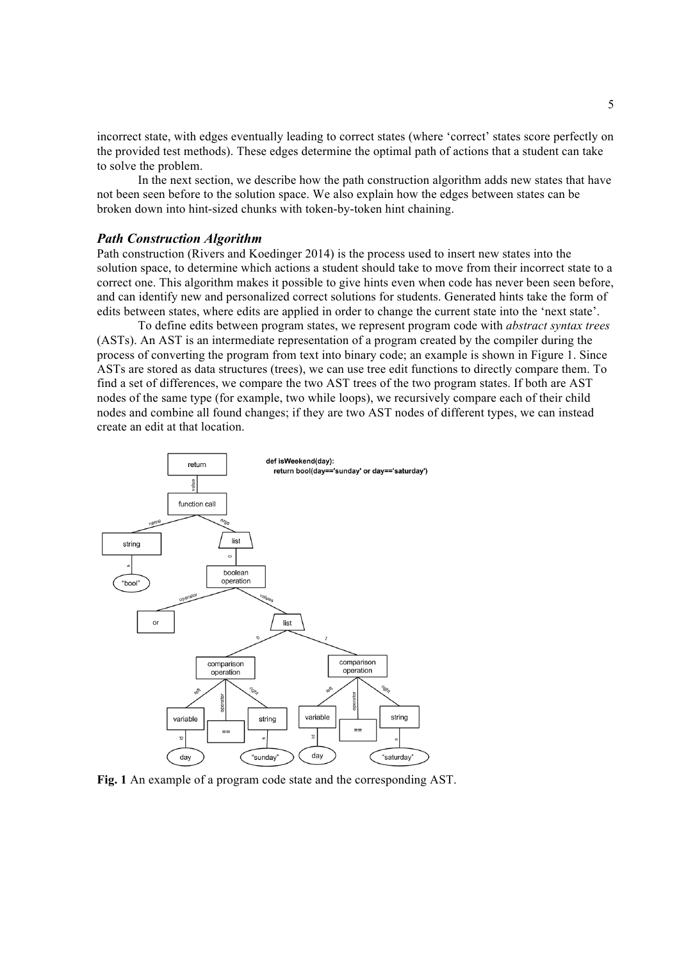incorrect state, with edges eventually leading to correct states (where 'correct' states score perfectly on the provided test methods). These edges determine the optimal path of actions that a student can take to solve the problem.

In the next section, we describe how the path construction algorithm adds new states that have not been seen before to the solution space. We also explain how the edges between states can be broken down into hint-sized chunks with token-by-token hint chaining.

#### *Path Construction Algorithm*

Path construction (Rivers and Koedinger 2014) is the process used to insert new states into the solution space, to determine which actions a student should take to move from their incorrect state to a correct one. This algorithm makes it possible to give hints even when code has never been seen before, and can identify new and personalized correct solutions for students. Generated hints take the form of edits between states, where edits are applied in order to change the current state into the 'next state'.

To define edits between program states, we represent program code with *abstract syntax trees*  (ASTs). An AST is an intermediate representation of a program created by the compiler during the process of converting the program from text into binary code; an example is shown in Figure 1. Since ASTs are stored as data structures (trees), we can use tree edit functions to directly compare them. To find a set of differences, we compare the two AST trees of the two program states. If both are AST nodes of the same type (for example, two while loops), we recursively compare each of their child nodes and combine all found changes; if they are two AST nodes of different types, we can instead create an edit at that location.



**Fig. 1** An example of a program code state and the corresponding AST.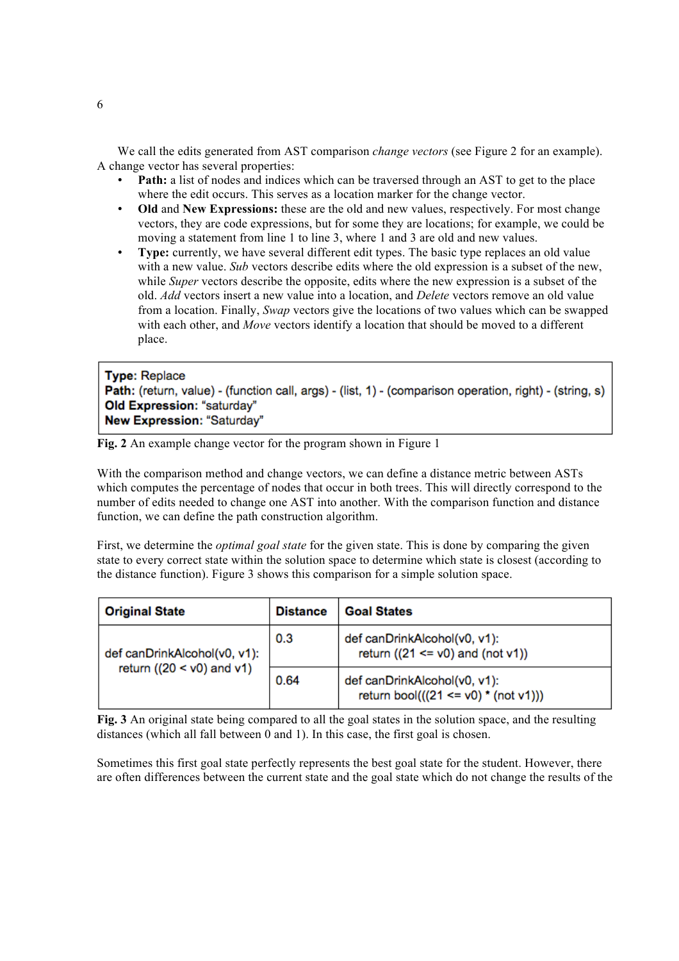We call the edits generated from AST comparison *change vectors* (see Figure 2 for an example). A change vector has several properties:

- **Path:** a list of nodes and indices which can be traversed through an AST to get to the place where the edit occurs. This serves as a location marker for the change vector.
- **Old** and **New Expressions:** these are the old and new values, respectively. For most change vectors, they are code expressions, but for some they are locations; for example, we could be moving a statement from line 1 to line 3, where 1 and 3 are old and new values.
- **Type:** currently, we have several different edit types. The basic type replaces an old value with a new value. *Sub* vectors describe edits where the old expression is a subset of the new, while *Super* vectors describe the opposite, edits where the new expression is a subset of the old. *Add* vectors insert a new value into a location, and *Delete* vectors remove an old value from a location. Finally, *Swap* vectors give the locations of two values which can be swapped with each other, and *Move* vectors identify a location that should be moved to a different place.

```
Type: Replace
Path: (return, value) - (function call, args) - (list, 1) - (comparison operation, right) - (string, s)
Old Expression: "saturday"
New Expression: "Saturday"
```
**Fig. 2** An example change vector for the program shown in Figure 1

With the comparison method and change vectors, we can define a distance metric between ASTs which computes the percentage of nodes that occur in both trees. This will directly correspond to the number of edits needed to change one AST into another. With the comparison function and distance function, we can define the path construction algorithm.

First, we determine the *optimal goal state* for the given state. This is done by comparing the given state to every correct state within the solution space to determine which state is closest (according to the distance function). Figure 3 shows this comparison for a simple solution space.

| <b>Original State</b>        | Distance | <b>Goal States</b>                                                       |
|------------------------------|----------|--------------------------------------------------------------------------|
| def canDrinkAlcohol(v0, v1): | 0.3      | def canDrinkAlcohol(v0, v1):<br>return ( $(21 \le v0)$ and (not v1))     |
| return $((20 < v0)$ and v1)  | 0.64     | def canDrinkAlcohol(v0, v1):<br>return bool( $((21 \le v0)$ * (not v1))) |

**Fig. 3** An original state being compared to all the goal states in the solution space, and the resulting distances (which all fall between 0 and 1). In this case, the first goal is chosen.

Sometimes this first goal state perfectly represents the best goal state for the student. However, there are often differences between the current state and the goal state which do not change the results of the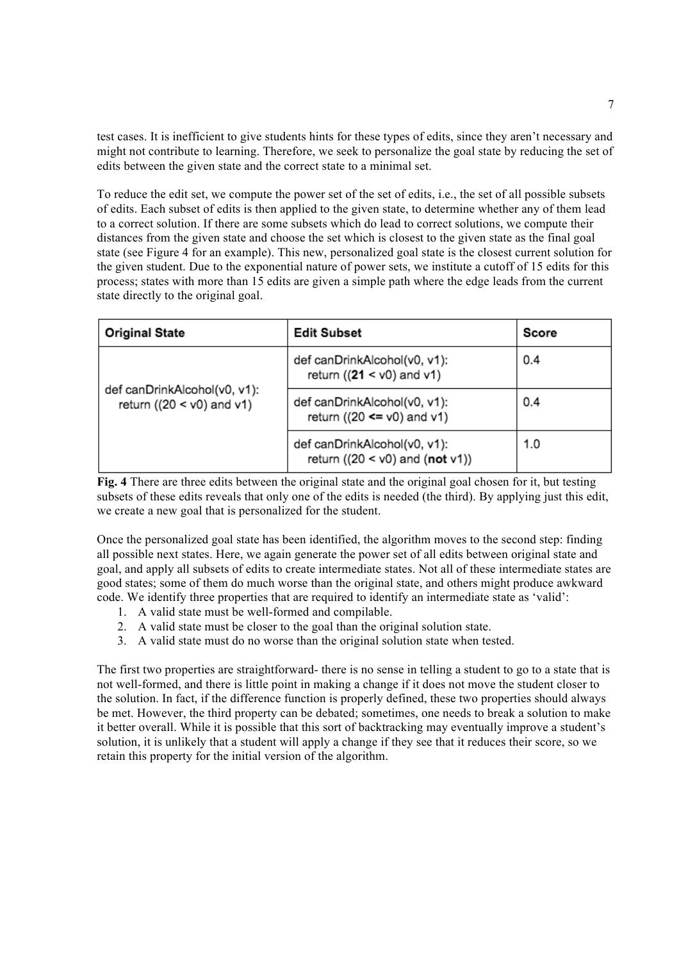test cases. It is inefficient to give students hints for these types of edits, since they aren't necessary and might not contribute to learning. Therefore, we seek to personalize the goal state by reducing the set of edits between the given state and the correct state to a minimal set.

To reduce the edit set, we compute the power set of the set of edits, i.e., the set of all possible subsets of edits. Each subset of edits is then applied to the given state, to determine whether any of them lead to a correct solution. If there are some subsets which do lead to correct solutions, we compute their distances from the given state and choose the set which is closest to the given state as the final goal state (see Figure 4 for an example). This new, personalized goal state is the closest current solution for the given student. Due to the exponential nature of power sets, we institute a cutoff of 15 edits for this process; states with more than 15 edits are given a simple path where the edge leads from the current state directly to the original goal.

| <b>Original State</b>                                        | <b>Edit Subset</b>                                                  | Score |
|--------------------------------------------------------------|---------------------------------------------------------------------|-------|
|                                                              | def canDrinkAlcohol(v0, v1):<br>return ( $(21 < v0)$ and v1)        | 0.4   |
| def canDrinkAlcohol(v0, v1):<br>return ( $(20 < v0)$ and v1) | def canDrinkAlcohol(v0, v1):<br>return ( $(20 \le v0)$ and v1)      | 0.4   |
|                                                              | def canDrinkAlcohol(v0, v1):<br>return $((20 < v0)$ and $(not v1))$ | 1.0   |

**Fig. 4** There are three edits between the original state and the original goal chosen for it, but testing subsets of these edits reveals that only one of the edits is needed (the third). By applying just this edit, we create a new goal that is personalized for the student.

Once the personalized goal state has been identified, the algorithm moves to the second step: finding all possible next states. Here, we again generate the power set of all edits between original state and goal, and apply all subsets of edits to create intermediate states. Not all of these intermediate states are good states; some of them do much worse than the original state, and others might produce awkward code. We identify three properties that are required to identify an intermediate state as 'valid':

- 1. A valid state must be well-formed and compilable.
- 2. A valid state must be closer to the goal than the original solution state.
- 3. A valid state must do no worse than the original solution state when tested.

The first two properties are straightforward- there is no sense in telling a student to go to a state that is not well-formed, and there is little point in making a change if it does not move the student closer to the solution. In fact, if the difference function is properly defined, these two properties should always be met. However, the third property can be debated; sometimes, one needs to break a solution to make it better overall. While it is possible that this sort of backtracking may eventually improve a student's solution, it is unlikely that a student will apply a change if they see that it reduces their score, so we retain this property for the initial version of the algorithm.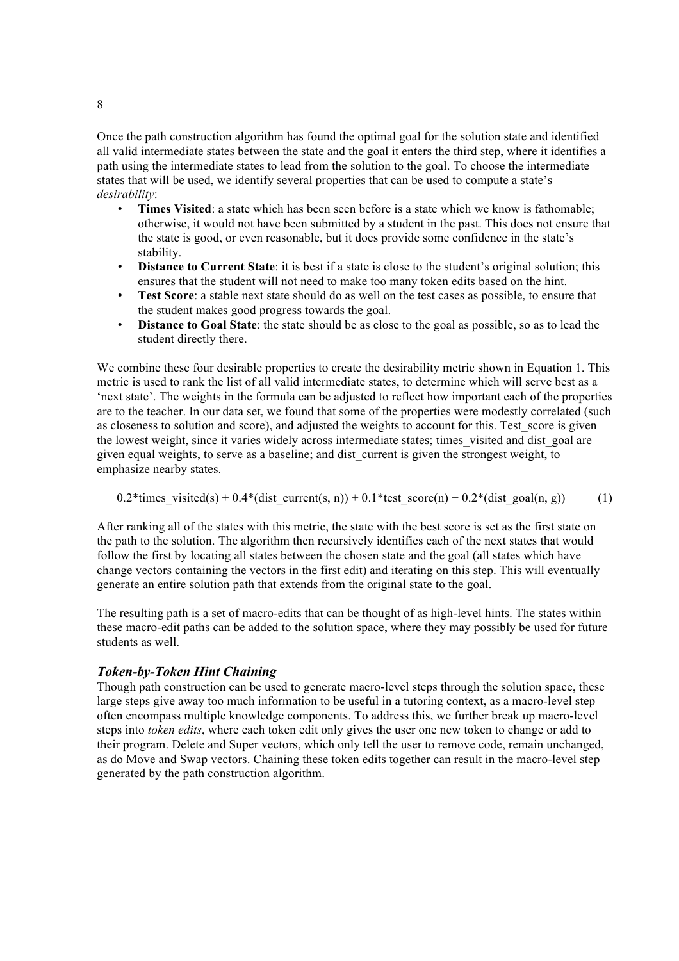Once the path construction algorithm has found the optimal goal for the solution state and identified all valid intermediate states between the state and the goal it enters the third step, where it identifies a path using the intermediate states to lead from the solution to the goal. To choose the intermediate states that will be used, we identify several properties that can be used to compute a state's *desirability*:

- **Times Visited**: a state which has been seen before is a state which we know is fathomable; otherwise, it would not have been submitted by a student in the past. This does not ensure that the state is good, or even reasonable, but it does provide some confidence in the state's stability.
- **Distance to Current State**: it is best if a state is close to the student's original solution; this ensures that the student will not need to make too many token edits based on the hint.
- **Test Score**: a stable next state should do as well on the test cases as possible, to ensure that the student makes good progress towards the goal.
- **Distance to Goal State**: the state should be as close to the goal as possible, so as to lead the student directly there.

We combine these four desirable properties to create the desirability metric shown in Equation 1. This metric is used to rank the list of all valid intermediate states, to determine which will serve best as a 'next state'. The weights in the formula can be adjusted to reflect how important each of the properties are to the teacher. In our data set, we found that some of the properties were modestly correlated (such as closeness to solution and score), and adjusted the weights to account for this. Test score is given the lowest weight, since it varies widely across intermediate states; times visited and dist\_goal are given equal weights, to serve as a baseline; and dist\_current is given the strongest weight, to emphasize nearby states.

$$
0.2*times \text{ times visited(s)} + 0.4*(dist \text{ current}(s, n)) + 0.1*test \text{ score}(n) + 0.2*(dist \text{ goal}(n, g))
$$
 (1)

After ranking all of the states with this metric, the state with the best score is set as the first state on the path to the solution. The algorithm then recursively identifies each of the next states that would follow the first by locating all states between the chosen state and the goal (all states which have change vectors containing the vectors in the first edit) and iterating on this step. This will eventually generate an entire solution path that extends from the original state to the goal.

The resulting path is a set of macro-edits that can be thought of as high-level hints. The states within these macro-edit paths can be added to the solution space, where they may possibly be used for future students as well.

## *Token-by-Token Hint Chaining*

Though path construction can be used to generate macro-level steps through the solution space, these large steps give away too much information to be useful in a tutoring context, as a macro-level step often encompass multiple knowledge components. To address this, we further break up macro-level steps into *token edits*, where each token edit only gives the user one new token to change or add to their program. Delete and Super vectors, which only tell the user to remove code, remain unchanged, as do Move and Swap vectors. Chaining these token edits together can result in the macro-level step generated by the path construction algorithm.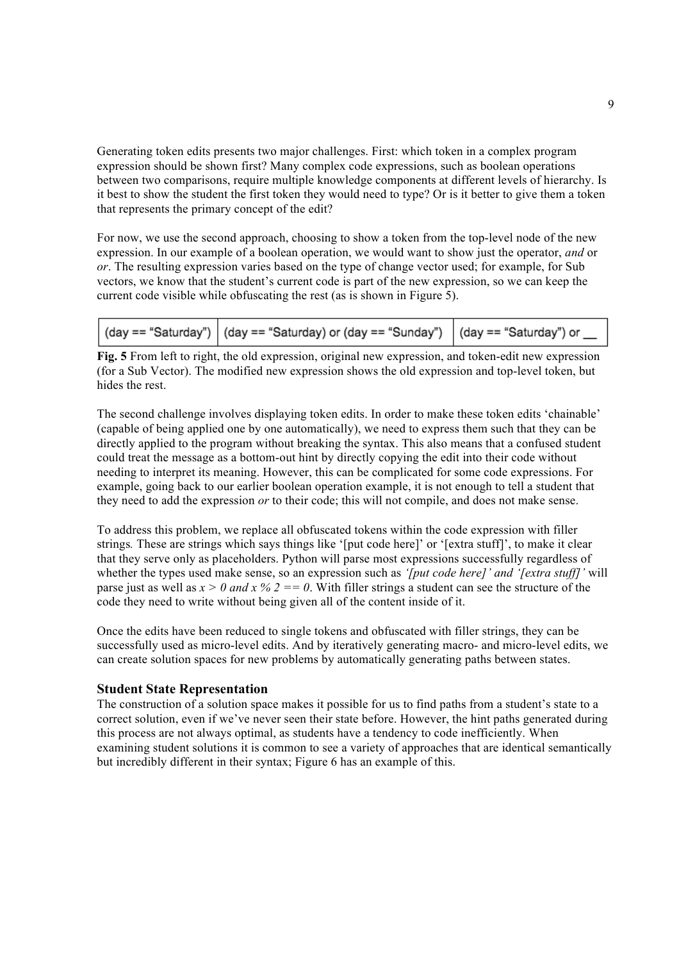Generating token edits presents two major challenges. First: which token in a complex program expression should be shown first? Many complex code expressions, such as boolean operations between two comparisons, require multiple knowledge components at different levels of hierarchy. Is it best to show the student the first token they would need to type? Or is it better to give them a token that represents the primary concept of the edit?

For now, we use the second approach, choosing to show a token from the top-level node of the new expression. In our example of a boolean operation, we would want to show just the operator, *and* or *or*. The resulting expression varies based on the type of change vector used; for example, for Sub vectors, we know that the student's current code is part of the new expression, so we can keep the current code visible while obfuscating the rest (as is shown in Figure 5).

| (day == "Saturday")   (day == "Saturday) or (day == "Sunday")     (day == "Saturday") or _ |  |
|--------------------------------------------------------------------------------------------|--|
|--------------------------------------------------------------------------------------------|--|

**Fig. 5** From left to right, the old expression, original new expression, and token-edit new expression (for a Sub Vector). The modified new expression shows the old expression and top-level token, but hides the rest.

The second challenge involves displaying token edits. In order to make these token edits 'chainable' (capable of being applied one by one automatically), we need to express them such that they can be directly applied to the program without breaking the syntax. This also means that a confused student could treat the message as a bottom-out hint by directly copying the edit into their code without needing to interpret its meaning. However, this can be complicated for some code expressions. For example, going back to our earlier boolean operation example, it is not enough to tell a student that they need to add the expression *or* to their code; this will not compile, and does not make sense.

To address this problem, we replace all obfuscated tokens within the code expression with filler strings. These are strings which says things like '[put code here]' or '[extra stuff]', to make it clear that they serve only as placeholders. Python will parse most expressions successfully regardless of whether the types used make sense, so an expression such as *'[put code here]' and '[extra stuff]'* will parse just as well as  $x > 0$  *and x % 2 = 0*. With filler strings a student can see the structure of the code they need to write without being given all of the content inside of it.

Once the edits have been reduced to single tokens and obfuscated with filler strings, they can be successfully used as micro-level edits. And by iteratively generating macro- and micro-level edits, we can create solution spaces for new problems by automatically generating paths between states.

# **Student State Representation**

The construction of a solution space makes it possible for us to find paths from a student's state to a correct solution, even if we've never seen their state before. However, the hint paths generated during this process are not always optimal, as students have a tendency to code inefficiently. When examining student solutions it is common to see a variety of approaches that are identical semantically but incredibly different in their syntax; Figure 6 has an example of this.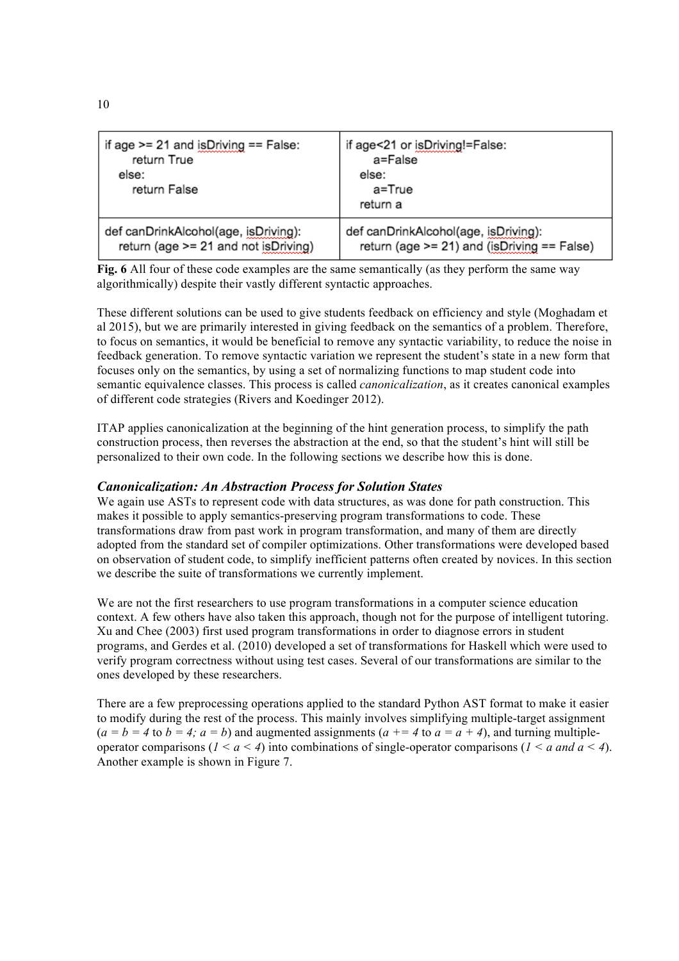| if age $>= 21$ and is Driving $==$ False:<br>return True<br>else:<br>return False | if age<21 or isDriving!=False:<br>a=False<br>else:<br>a=True<br>return a |
|-----------------------------------------------------------------------------------|--------------------------------------------------------------------------|
| def canDrinkAlcohol(age, isDriving):                                              | def canDrinkAlcohol(age, isDriving):                                     |
| return (age >= 21 and not isDriving)                                              | return (age $>= 21$ ) and (isDriving $==$ False)                         |

Fig. 6 All four of these code examples are the same semantically (as they perform the same way algorithmically) despite their vastly different syntactic approaches.

These different solutions can be used to give students feedback on efficiency and style (Moghadam et al 2015), but we are primarily interested in giving feedback on the semantics of a problem. Therefore, to focus on semantics, it would be beneficial to remove any syntactic variability, to reduce the noise in feedback generation. To remove syntactic variation we represent the student's state in a new form that focuses only on the semantics, by using a set of normalizing functions to map student code into semantic equivalence classes. This process is called *canonicalization*, as it creates canonical examples of different code strategies (Rivers and Koedinger 2012).

ITAP applies canonicalization at the beginning of the hint generation process, to simplify the path construction process, then reverses the abstraction at the end, so that the student's hint will still be personalized to their own code. In the following sections we describe how this is done.

## *Canonicalization: An Abstraction Process for Solution States*

We again use ASTs to represent code with data structures, as was done for path construction. This makes it possible to apply semantics-preserving program transformations to code. These transformations draw from past work in program transformation, and many of them are directly adopted from the standard set of compiler optimizations. Other transformations were developed based on observation of student code, to simplify inefficient patterns often created by novices. In this section we describe the suite of transformations we currently implement.

We are not the first researchers to use program transformations in a computer science education context. A few others have also taken this approach, though not for the purpose of intelligent tutoring. Xu and Chee (2003) first used program transformations in order to diagnose errors in student programs, and Gerdes et al. (2010) developed a set of transformations for Haskell which were used to verify program correctness without using test cases. Several of our transformations are similar to the ones developed by these researchers.

There are a few preprocessing operations applied to the standard Python AST format to make it easier to modify during the rest of the process. This mainly involves simplifying multiple-target assignment  $(a = b = 4$  to  $b = 4$ ;  $a = b$ ) and augmented assignments  $(a + b = 4$  to  $a = a + 4$ ), and turning multipleoperator comparisons  $(1 \le a \le 4)$  into combinations of single-operator comparisons  $(1 \le a$  and  $a \le 4)$ . Another example is shown in Figure 7.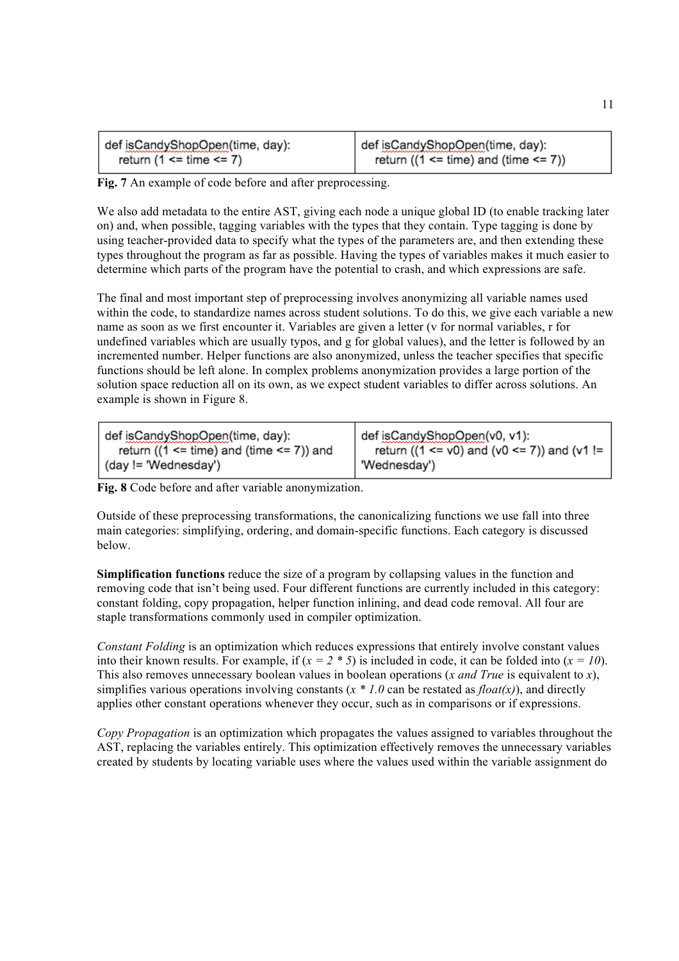| def isCandyShopOpen(time, day):     | def isCandyShopOpen(time, day):      |
|-------------------------------------|--------------------------------------|
| return (1 $\leq$ = time $\leq$ = 7) | return ((1 <= time) and (time <= 7)) |

**Fig. 7** An example of code before and after preprocessing.

We also add metadata to the entire AST, giving each node a unique global ID (to enable tracking later on) and, when possible, tagging variables with the types that they contain. Type tagging is done by using teacher-provided data to specify what the types of the parameters are, and then extending these types throughout the program as far as possible. Having the types of variables makes it much easier to determine which parts of the program have the potential to crash, and which expressions are safe.

The final and most important step of preprocessing involves anonymizing all variable names used within the code, to standardize names across student solutions. To do this, we give each variable a new name as soon as we first encounter it. Variables are given a letter (v for normal variables, r for undefined variables which are usually typos, and g for global values), and the letter is followed by an incremented number. Helper functions are also anonymized, unless the teacher specifies that specific functions should be left alone. In complex problems anonymization provides a large portion of the solution space reduction all on its own, as we expect student variables to differ across solutions. An example is shown in Figure 8.

| def isCandyShopOpen(time, day):                   | def isCandyShopOpen(v0, v1):                          |
|---------------------------------------------------|-------------------------------------------------------|
| return ( $(1 \leq$ time) and (time $\leq$ 7)) and | return ( $(1 \le v0)$ and $(v0 \le 7)$ ) and $(v1 !=$ |
| (day != 'Wednesday')                              | 'Wednesday')                                          |

**Fig. 8** Code before and after variable anonymization.

Outside of these preprocessing transformations, the canonicalizing functions we use fall into three main categories: simplifying, ordering, and domain-specific functions. Each category is discussed below.

**Simplification functions** reduce the size of a program by collapsing values in the function and removing code that isn't being used. Four different functions are currently included in this category: constant folding, copy propagation, helper function inlining, and dead code removal. All four are staple transformations commonly used in compiler optimization.

*Constant Folding* is an optimization which reduces expressions that entirely involve constant values into their known results. For example, if  $(x = 2 * 5)$  is included in code, it can be folded into  $(x = 10)$ . This also removes unnecessary boolean values in boolean operations (*x and True* is equivalent to *x*), simplifies various operations involving constants  $(x * 1.0$  can be restated as  $float(x)$ ), and directly applies other constant operations whenever they occur, such as in comparisons or if expressions.

*Copy Propagation* is an optimization which propagates the values assigned to variables throughout the AST, replacing the variables entirely. This optimization effectively removes the unnecessary variables created by students by locating variable uses where the values used within the variable assignment do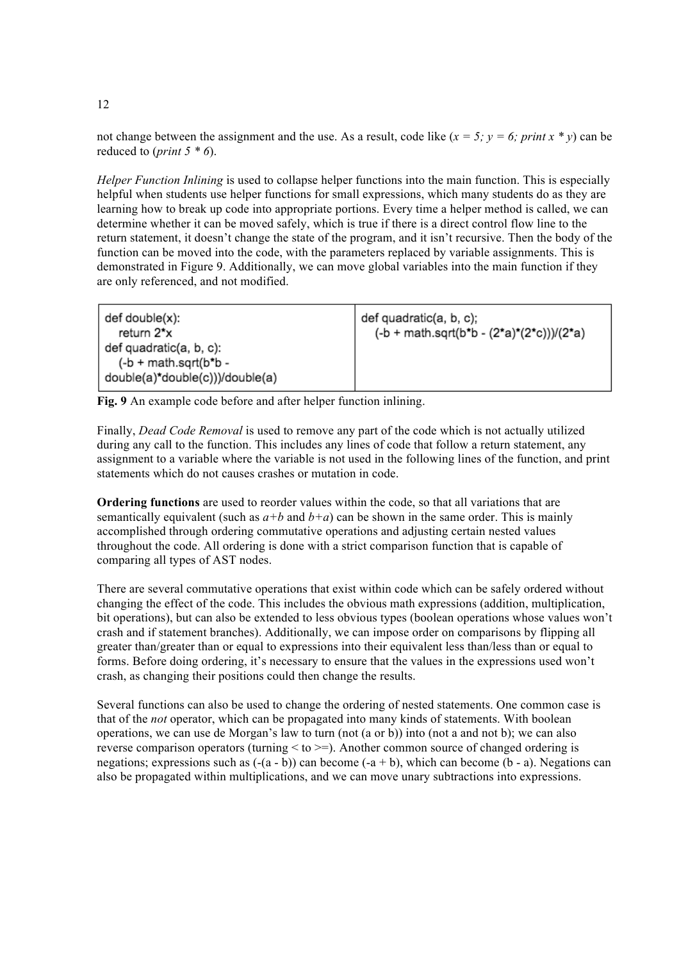not change between the assignment and the use. As a result, code like  $(x = 5; y = 6; print x * y)$  can be reduced to (*print 5 \* 6*).

*Helper Function Inlining* is used to collapse helper functions into the main function. This is especially helpful when students use helper functions for small expressions, which many students do as they are learning how to break up code into appropriate portions. Every time a helper method is called, we can determine whether it can be moved safely, which is true if there is a direct control flow line to the return statement, it doesn't change the state of the program, and it isn't recursive. Then the body of the function can be moved into the code, with the parameters replaced by variable assignments. This is demonstrated in Figure 9. Additionally, we can move global variables into the main function if they are only referenced, and not modified.

| def double(x):                  | def quadratic(a, b, c);                   |
|---------------------------------|-------------------------------------------|
| return 2*x                      | (-b + math.sqrt(b*b - (2*a)*(2*c)))/(2*a) |
| def quadratic(a, b, c):         |                                           |
| $(-b + \text{math.sqrt}(b^*)$   |                                           |
| double(a)*double(c)))/double(a) |                                           |

**Fig. 9** An example code before and after helper function inlining.

Finally, *Dead Code Removal* is used to remove any part of the code which is not actually utilized during any call to the function. This includes any lines of code that follow a return statement, any assignment to a variable where the variable is not used in the following lines of the function, and print statements which do not causes crashes or mutation in code.

**Ordering functions** are used to reorder values within the code, so that all variations that are semantically equivalent (such as  $a+b$  and  $b+a$ ) can be shown in the same order. This is mainly accomplished through ordering commutative operations and adjusting certain nested values throughout the code. All ordering is done with a strict comparison function that is capable of comparing all types of AST nodes.

There are several commutative operations that exist within code which can be safely ordered without changing the effect of the code. This includes the obvious math expressions (addition, multiplication, bit operations), but can also be extended to less obvious types (boolean operations whose values won't crash and if statement branches). Additionally, we can impose order on comparisons by flipping all greater than/greater than or equal to expressions into their equivalent less than/less than or equal to forms. Before doing ordering, it's necessary to ensure that the values in the expressions used won't crash, as changing their positions could then change the results.

Several functions can also be used to change the ordering of nested statements. One common case is that of the *not* operator, which can be propagated into many kinds of statements. With boolean operations, we can use de Morgan's law to turn (not (a or b)) into (not a and not b); we can also reverse comparison operators (turning < to >=). Another common source of changed ordering is negations; expressions such as  $(-(a - b))$  can become  $(-a + b)$ , which can become  $(b - a)$ . Negations can also be propagated within multiplications, and we can move unary subtractions into expressions.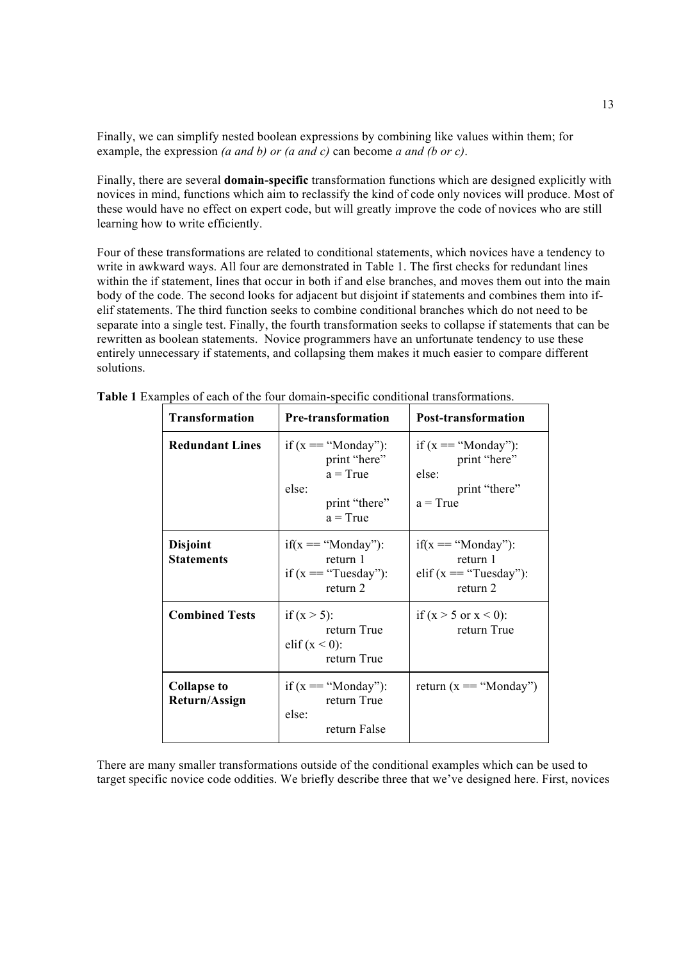Finally, we can simplify nested boolean expressions by combining like values within them; for example, the expression *(a and b) or (a and c)* can become *a and (b or c)*.

Finally, there are several **domain-specific** transformation functions which are designed explicitly with novices in mind, functions which aim to reclassify the kind of code only novices will produce. Most of these would have no effect on expert code, but will greatly improve the code of novices who are still learning how to write efficiently.

Four of these transformations are related to conditional statements, which novices have a tendency to write in awkward ways. All four are demonstrated in Table 1. The first checks for redundant lines within the if statement, lines that occur in both if and else branches, and moves them out into the main body of the code. The second looks for adjacent but disjoint if statements and combines them into ifelif statements. The third function seeks to combine conditional branches which do not need to be separate into a single test. Finally, the fourth transformation seeks to collapse if statements that can be rewritten as boolean statements. Novice programmers have an unfortunate tendency to use these entirely unnecessary if statements, and collapsing them makes it much easier to compare different solutions.

| Transformation                             | <b>Pre-transformation</b>                                                                    | Post-transformation                                                                |
|--------------------------------------------|----------------------------------------------------------------------------------------------|------------------------------------------------------------------------------------|
| <b>Redundant Lines</b>                     | if $(x == "Monday")$ :<br>print "here"<br>$a = True$<br>else:<br>print "there"<br>$a = True$ | if $(x == "Monday")$ :<br>print "here"<br>else:<br>print "there"<br>$a = True$     |
| <b>Disjoint</b><br><b>Statements</b>       | $if(x == "Monday")$ :<br>return 1<br>if $(x == "Tuesday")$ :<br>return 2                     | $if(x == "Monday")$ :<br>return 1<br>elif $(x = \text{``Tuesday''})$ :<br>return 2 |
| <b>Combined Tests</b>                      | if $(x > 5)$ :<br>return True<br>elif $(x < 0)$ :<br>return True                             | if $(x > 5$ or $x < 0$ :<br>return True                                            |
| <b>Collapse to</b><br><b>Return/Assign</b> | if $(x == "Monday")$ :<br>return True<br>else:<br>return False                               | return $(x == "Monday")$                                                           |

**Table 1** Examples of each of the four domain-specific conditional transformations.

There are many smaller transformations outside of the conditional examples which can be used to target specific novice code oddities. We briefly describe three that we've designed here. First, novices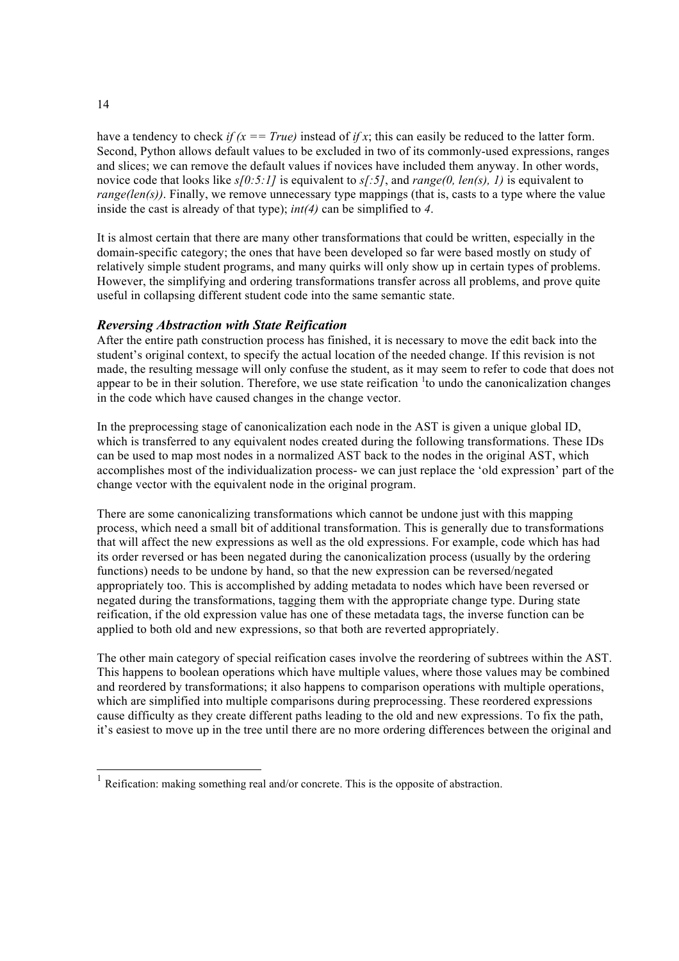#### 14

have a tendency to check *if*  $(x == True)$  instead of *if* x; this can easily be reduced to the latter form. Second, Python allows default values to be excluded in two of its commonly-used expressions, ranges and slices; we can remove the default values if novices have included them anyway. In other words, novice code that looks like  $s[0:5:1]$  is equivalent to  $s[.5]$ , and *range(0, len(s), 1)* is equivalent to *range(len(s))*. Finally, we remove unnecessary type mappings (that is, casts to a type where the value inside the cast is already of that type); *int(4)* can be simplified to *4*.

It is almost certain that there are many other transformations that could be written, especially in the domain-specific category; the ones that have been developed so far were based mostly on study of relatively simple student programs, and many quirks will only show up in certain types of problems. However, the simplifying and ordering transformations transfer across all problems, and prove quite useful in collapsing different student code into the same semantic state.

#### *Reversing Abstraction with State Reification*

After the entire path construction process has finished, it is necessary to move the edit back into the student's original context, to specify the actual location of the needed change. If this revision is not made, the resulting message will only confuse the student, as it may seem to refer to code that does not appear to be in their solution. Therefore, we use state reification  $1$  to undo the canonicalization changes in the code which have caused changes in the change vector.

In the preprocessing stage of canonicalization each node in the AST is given a unique global ID, which is transferred to any equivalent nodes created during the following transformations. These IDs can be used to map most nodes in a normalized AST back to the nodes in the original AST, which accomplishes most of the individualization process- we can just replace the 'old expression' part of the change vector with the equivalent node in the original program.

There are some canonicalizing transformations which cannot be undone just with this mapping process, which need a small bit of additional transformation. This is generally due to transformations that will affect the new expressions as well as the old expressions. For example, code which has had its order reversed or has been negated during the canonicalization process (usually by the ordering functions) needs to be undone by hand, so that the new expression can be reversed/negated appropriately too. This is accomplished by adding metadata to nodes which have been reversed or negated during the transformations, tagging them with the appropriate change type. During state reification, if the old expression value has one of these metadata tags, the inverse function can be applied to both old and new expressions, so that both are reverted appropriately.

The other main category of special reification cases involve the reordering of subtrees within the AST. This happens to boolean operations which have multiple values, where those values may be combined and reordered by transformations; it also happens to comparison operations with multiple operations, which are simplified into multiple comparisons during preprocessing. These reordered expressions cause difficulty as they create different paths leading to the old and new expressions. To fix the path, it's easiest to move up in the tree until there are no more ordering differences between the original and

Reification: making something real and/or concrete. This is the opposite of abstraction.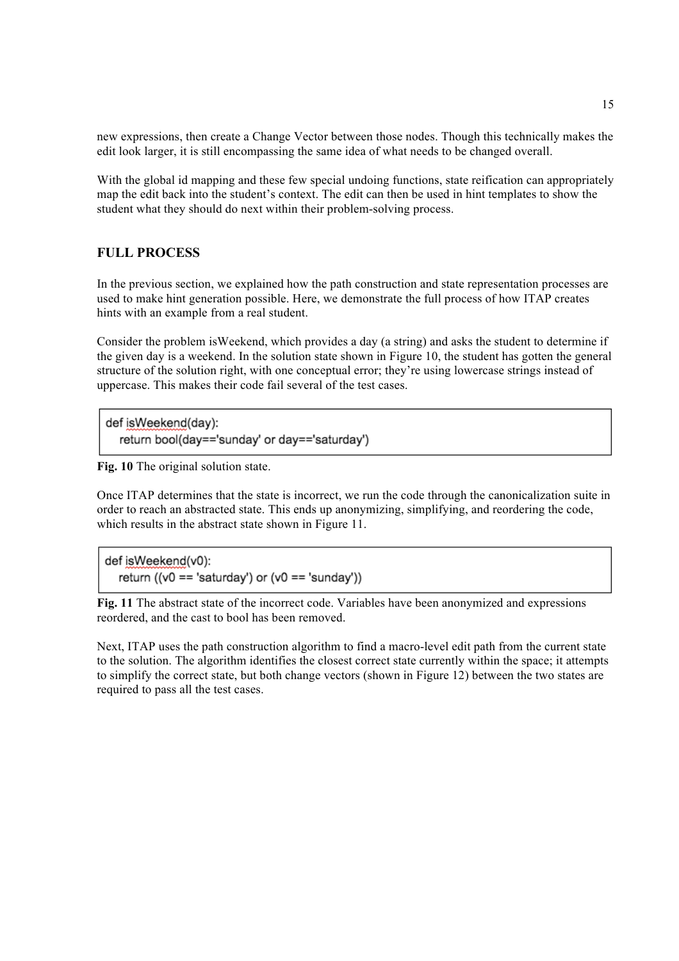new expressions, then create a Change Vector between those nodes. Though this technically makes the edit look larger, it is still encompassing the same idea of what needs to be changed overall.

With the global id mapping and these few special undoing functions, state reification can appropriately map the edit back into the student's context. The edit can then be used in hint templates to show the student what they should do next within their problem-solving process.

# **FULL PROCESS**

In the previous section, we explained how the path construction and state representation processes are used to make hint generation possible. Here, we demonstrate the full process of how ITAP creates hints with an example from a real student.

Consider the problem isWeekend, which provides a day (a string) and asks the student to determine if the given day is a weekend. In the solution state shown in Figure 10, the student has gotten the general structure of the solution right, with one conceptual error; they're using lowercase strings instead of uppercase. This makes their code fail several of the test cases.

```
def isWeekend(day):
  return bool(day=='sunday' or day=='saturday')
```
**Fig. 10** The original solution state.

Once ITAP determines that the state is incorrect, we run the code through the canonicalization suite in order to reach an abstracted state. This ends up anonymizing, simplifying, and reordering the code, which results in the abstract state shown in Figure 11.

def isWeekend(v0): return (( $v0 == 'saturday'$ ) or ( $v0 == 'sunday'$ ))

**Fig. 11** The abstract state of the incorrect code. Variables have been anonymized and expressions reordered, and the cast to bool has been removed.

Next, ITAP uses the path construction algorithm to find a macro-level edit path from the current state to the solution. The algorithm identifies the closest correct state currently within the space; it attempts to simplify the correct state, but both change vectors (shown in Figure 12) between the two states are required to pass all the test cases.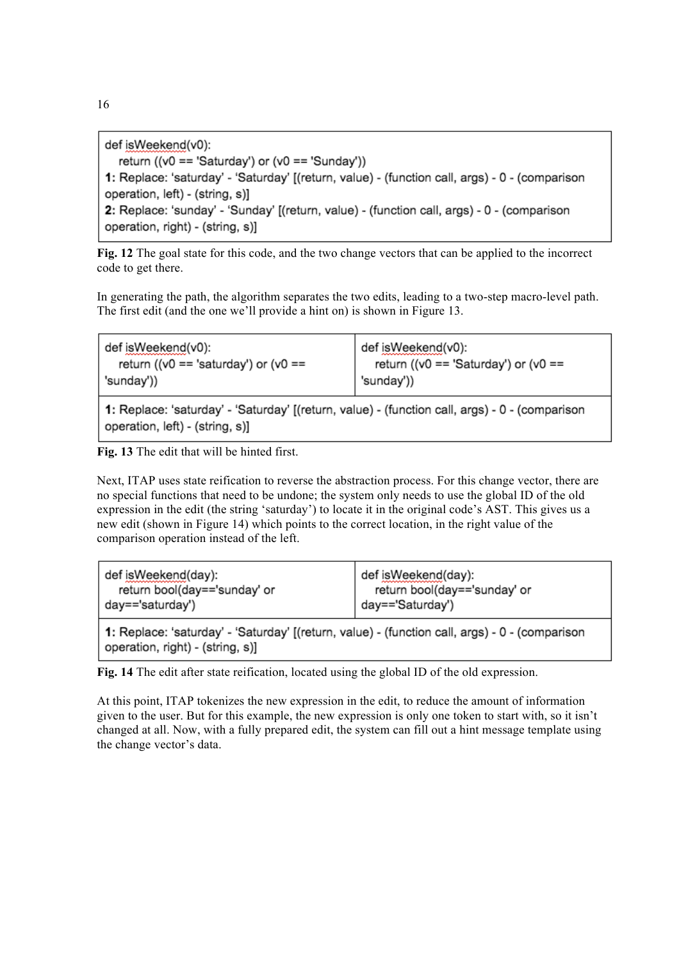```
def isWeekend(v0):
  return ((v0 == 'Saturday') or (v0 == 'Sunday'))
1: Replace: 'saturday' - 'Saturday' [(return, value) - (function call, args) - 0 - (comparison
operation, left) - (string, s)]
2: Replace: 'sunday' - 'Sunday' [(return, value) - (function call, args) - 0 - (comparison
operation, right) - (string, s)]
```
**Fig. 12** The goal state for this code, and the two change vectors that can be applied to the incorrect code to get there.

In generating the path, the algorithm separates the two edits, leading to a two-step macro-level path. The first edit (and the one we'll provide a hint on) is shown in Figure 13.

| def <u>isWeekend</u> (v0):                                                                                                        | def isWeekend(v0):                         |  |
|-----------------------------------------------------------------------------------------------------------------------------------|--------------------------------------------|--|
| return ( $(v0 == 'saturday')$ or $(v0 ==$                                                                                         | return (( $v0 ==$ 'Saturday') or ( $v0 ==$ |  |
| 'sunday'))                                                                                                                        | 'sunday'))                                 |  |
| 1: Replace: 'saturday' - 'Saturday' [(return, value) - (function call, args) - 0 - (comparison<br>operation, left) - (string, s)] |                                            |  |

**Fig. 13** The edit that will be hinted first.

Next, ITAP uses state reification to reverse the abstraction process. For this change vector, there are no special functions that need to be undone; the system only needs to use the global ID of the old expression in the edit (the string 'saturday') to locate it in the original code's AST. This gives us a new edit (shown in Figure 14) which points to the correct location, in the right value of the comparison operation instead of the left.

| def isWeekend(day):          | def isWeekend(day):          |
|------------------------------|------------------------------|
| return bool(day=='sunday' or | return bool(day=='sunday' or |
| day=='saturday')             | day=='Saturday')             |
|                              |                              |

1: Replace: 'saturday' - 'Saturday' [(return, value) - (function call, args) - 0 - (comparison operation, right) - (string, s)]

**Fig. 14** The edit after state reification, located using the global ID of the old expression.

At this point, ITAP tokenizes the new expression in the edit, to reduce the amount of information given to the user. But for this example, the new expression is only one token to start with, so it isn't changed at all. Now, with a fully prepared edit, the system can fill out a hint message template using the change vector's data.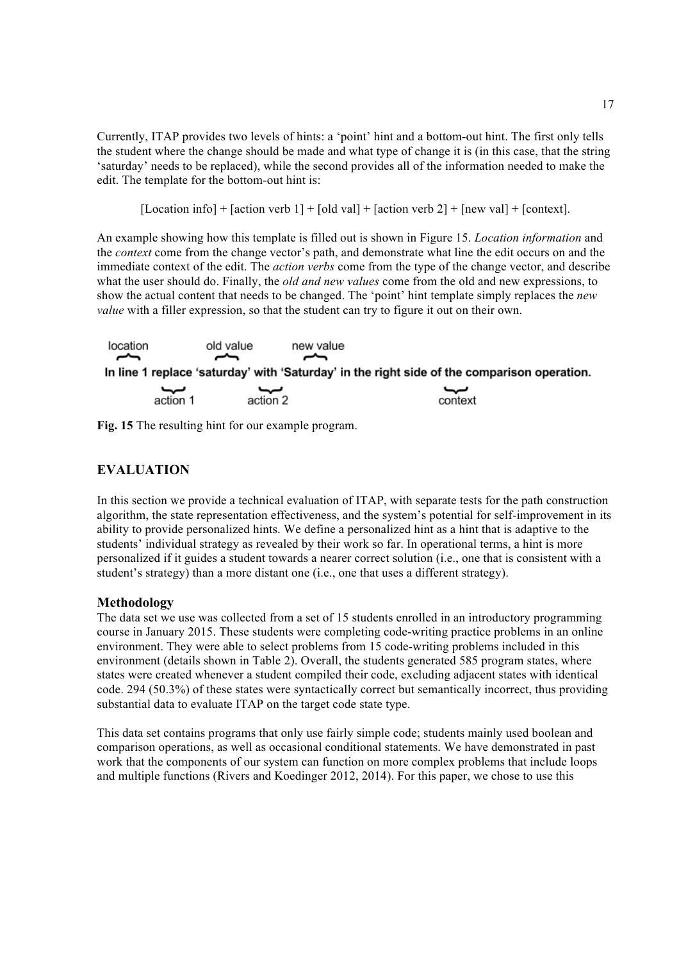Currently, ITAP provides two levels of hints: a 'point' hint and a bottom-out hint. The first only tells the student where the change should be made and what type of change it is (in this case, that the string 'saturday' needs to be replaced), while the second provides all of the information needed to make the edit. The template for the bottom-out hint is:

[Location info] + [action verb  $1$ ] + [old val] + [action verb  $2$ ] + [new val] + [context].

An example showing how this template is filled out is shown in Figure 15. *Location information* and the *context* come from the change vector's path, and demonstrate what line the edit occurs on and the immediate context of the edit. The *action verbs* come from the type of the change vector, and describe what the user should do. Finally, the *old and new values* come from the old and new expressions, to show the actual content that needs to be changed. The 'point' hint template simply replaces the *new value* with a filler expression, so that the student can try to figure it out on their own.



**Fig. 15** The resulting hint for our example program.

# **EVALUATION**

In this section we provide a technical evaluation of ITAP, with separate tests for the path construction algorithm, the state representation effectiveness, and the system's potential for self-improvement in its ability to provide personalized hints. We define a personalized hint as a hint that is adaptive to the students' individual strategy as revealed by their work so far. In operational terms, a hint is more personalized if it guides a student towards a nearer correct solution (i.e., one that is consistent with a student's strategy) than a more distant one (i.e., one that uses a different strategy).

## **Methodology**

The data set we use was collected from a set of 15 students enrolled in an introductory programming course in January 2015. These students were completing code-writing practice problems in an online environment. They were able to select problems from 15 code-writing problems included in this environment (details shown in Table 2). Overall, the students generated 585 program states, where states were created whenever a student compiled their code, excluding adjacent states with identical code. 294 (50.3%) of these states were syntactically correct but semantically incorrect, thus providing substantial data to evaluate ITAP on the target code state type.

This data set contains programs that only use fairly simple code; students mainly used boolean and comparison operations, as well as occasional conditional statements. We have demonstrated in past work that the components of our system can function on more complex problems that include loops and multiple functions (Rivers and Koedinger 2012, 2014). For this paper, we chose to use this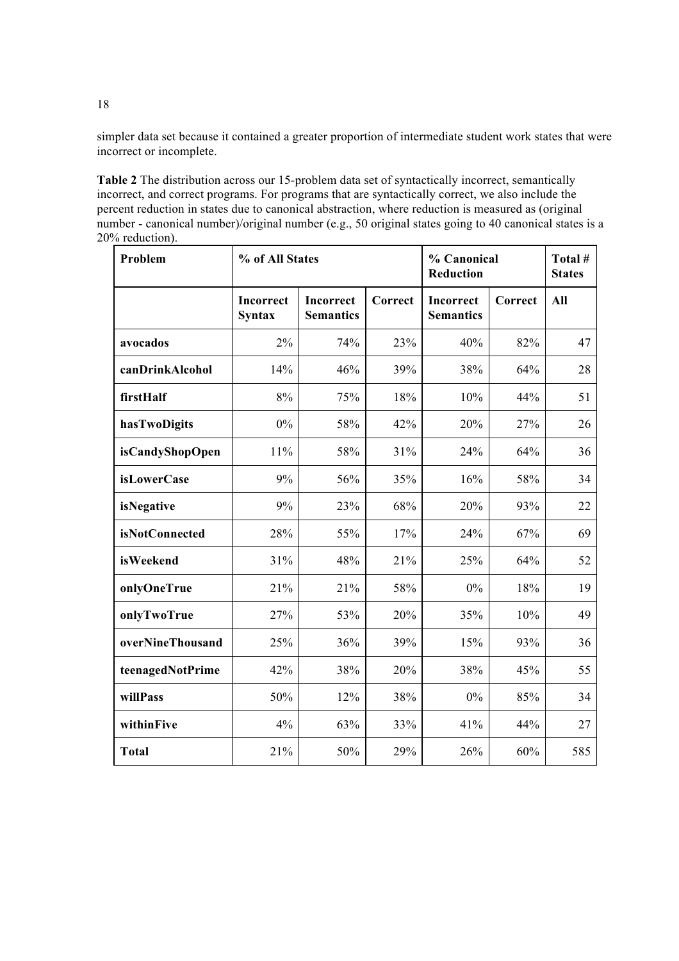simpler data set because it contained a greater proportion of intermediate student work states that were incorrect or incomplete.

**Table 2** The distribution across our 15-problem data set of syntactically incorrect, semantically incorrect, and correct programs. For programs that are syntactically correct, we also include the percent reduction in states due to canonical abstraction, where reduction is measured as (original number - canonical number)/original number (e.g., 50 original states going to 40 canonical states is a 20% reduction).

| Problem               | % of All States                   |                                      |         | % Canonical<br><b>Reduction</b>      |         | Total#<br><b>States</b> |
|-----------------------|-----------------------------------|--------------------------------------|---------|--------------------------------------|---------|-------------------------|
|                       | <b>Incorrect</b><br><b>Syntax</b> | <b>Incorrect</b><br><b>Semantics</b> | Correct | <b>Incorrect</b><br><b>Semantics</b> | Correct | All                     |
| avocados              | 2%                                | 74%                                  | 23%     | 40%                                  | 82%     | 47                      |
| canDrinkAlcohol       | 14%                               | 46%                                  | 39%     | 38%                                  | 64%     | 28                      |
| firstHalf             | 8%                                | 75%                                  | 18%     | 10%                                  | 44%     | 51                      |
| hasTwoDigits          | $0\%$                             | 58%                                  | 42%     | 20%                                  | 27%     | 26                      |
| isCandyShopOpen       | 11%                               | 58%                                  | 31%     | 24%                                  | 64%     | 36                      |
| <b>isLowerCase</b>    | 9%                                | 56%                                  | 35%     | 16%                                  | 58%     | 34                      |
| isNegative            | 9%                                | 23%                                  | 68%     | 20%                                  | 93%     | 22                      |
| <b>isNotConnected</b> | 28%                               | 55%                                  | 17%     | 24%                                  | 67%     | 69                      |
| isWeekend             | 31%                               | 48%                                  | 21%     | 25%                                  | 64%     | 52                      |
| onlyOneTrue           | 21%                               | 21%                                  | 58%     | $0\%$                                | 18%     | 19                      |
| onlyTwoTrue           | 27%                               | 53%                                  | 20%     | 35%                                  | 10%     | 49                      |
| overNineThousand      | 25%                               | 36%                                  | 39%     | 15%                                  | 93%     | 36                      |
| teenagedNotPrime      | 42%                               | 38%                                  | 20%     | 38%                                  | 45%     | 55                      |
| willPass              | 50%                               | 12%                                  | 38%     | 0%                                   | 85%     | 34                      |
| withinFive            | 4%                                | 63%                                  | 33%     | 41%                                  | 44%     | 27                      |
| <b>Total</b>          | 21%                               | 50%                                  | 29%     | 26%                                  | 60%     | 585                     |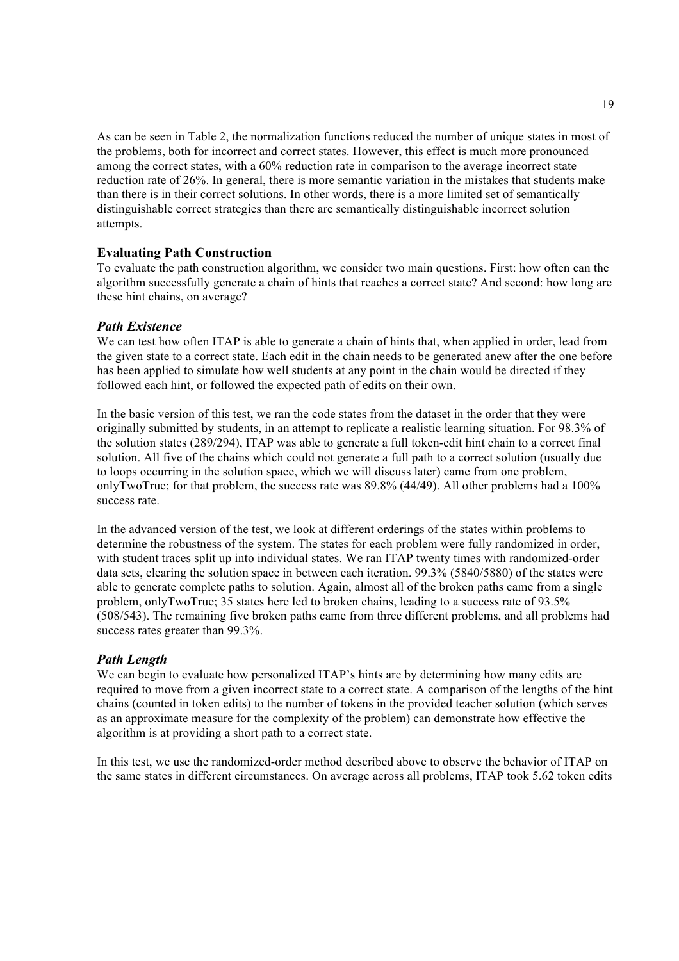As can be seen in Table 2, the normalization functions reduced the number of unique states in most of the problems, both for incorrect and correct states. However, this effect is much more pronounced among the correct states, with a 60% reduction rate in comparison to the average incorrect state reduction rate of 26%. In general, there is more semantic variation in the mistakes that students make than there is in their correct solutions. In other words, there is a more limited set of semantically distinguishable correct strategies than there are semantically distinguishable incorrect solution attempts.

## **Evaluating Path Construction**

To evaluate the path construction algorithm, we consider two main questions. First: how often can the algorithm successfully generate a chain of hints that reaches a correct state? And second: how long are these hint chains, on average?

## *Path Existence*

We can test how often ITAP is able to generate a chain of hints that, when applied in order, lead from the given state to a correct state. Each edit in the chain needs to be generated anew after the one before has been applied to simulate how well students at any point in the chain would be directed if they followed each hint, or followed the expected path of edits on their own.

In the basic version of this test, we ran the code states from the dataset in the order that they were originally submitted by students, in an attempt to replicate a realistic learning situation. For 98.3% of the solution states (289/294), ITAP was able to generate a full token-edit hint chain to a correct final solution. All five of the chains which could not generate a full path to a correct solution (usually due to loops occurring in the solution space, which we will discuss later) came from one problem, onlyTwoTrue; for that problem, the success rate was 89.8% (44/49). All other problems had a 100% success rate.

In the advanced version of the test, we look at different orderings of the states within problems to determine the robustness of the system. The states for each problem were fully randomized in order, with student traces split up into individual states. We ran ITAP twenty times with randomized-order data sets, clearing the solution space in between each iteration. 99.3% (5840/5880) of the states were able to generate complete paths to solution. Again, almost all of the broken paths came from a single problem, onlyTwoTrue; 35 states here led to broken chains, leading to a success rate of 93.5% (508/543). The remaining five broken paths came from three different problems, and all problems had success rates greater than 99.3%.

# *Path Length*

We can begin to evaluate how personalized ITAP's hints are by determining how many edits are required to move from a given incorrect state to a correct state. A comparison of the lengths of the hint chains (counted in token edits) to the number of tokens in the provided teacher solution (which serves as an approximate measure for the complexity of the problem) can demonstrate how effective the algorithm is at providing a short path to a correct state.

In this test, we use the randomized-order method described above to observe the behavior of ITAP on the same states in different circumstances. On average across all problems, ITAP took 5.62 token edits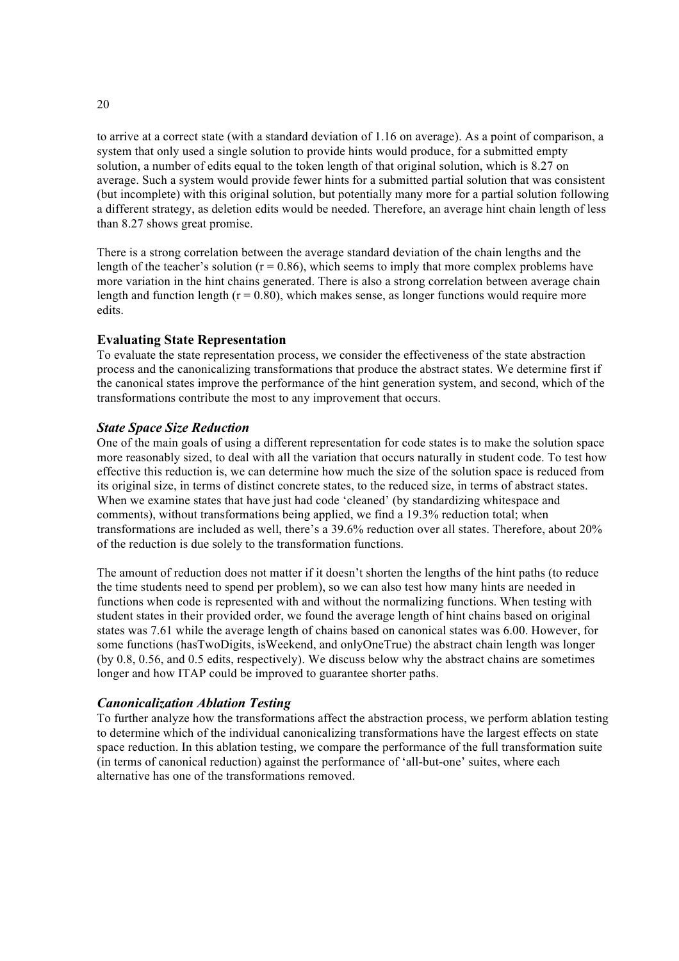## to arrive at a correct state (with a standard deviation of 1.16 on average). As a point of comparison, a system that only used a single solution to provide hints would produce, for a submitted empty solution, a number of edits equal to the token length of that original solution, which is 8.27 on average. Such a system would provide fewer hints for a submitted partial solution that was consistent (but incomplete) with this original solution, but potentially many more for a partial solution following a different strategy, as deletion edits would be needed. Therefore, an average hint chain length of less than 8.27 shows great promise.

There is a strong correlation between the average standard deviation of the chain lengths and the length of the teacher's solution ( $r = 0.86$ ), which seems to imply that more complex problems have more variation in the hint chains generated. There is also a strong correlation between average chain length and function length  $(r = 0.80)$ , which makes sense, as longer functions would require more edits.

# **Evaluating State Representation**

To evaluate the state representation process, we consider the effectiveness of the state abstraction process and the canonicalizing transformations that produce the abstract states. We determine first if the canonical states improve the performance of the hint generation system, and second, which of the transformations contribute the most to any improvement that occurs.

# *State Space Size Reduction*

One of the main goals of using a different representation for code states is to make the solution space more reasonably sized, to deal with all the variation that occurs naturally in student code. To test how effective this reduction is, we can determine how much the size of the solution space is reduced from its original size, in terms of distinct concrete states, to the reduced size, in terms of abstract states. When we examine states that have just had code 'cleaned' (by standardizing whitespace and comments), without transformations being applied, we find a 19.3% reduction total; when transformations are included as well, there's a 39.6% reduction over all states. Therefore, about 20% of the reduction is due solely to the transformation functions.

The amount of reduction does not matter if it doesn't shorten the lengths of the hint paths (to reduce the time students need to spend per problem), so we can also test how many hints are needed in functions when code is represented with and without the normalizing functions. When testing with student states in their provided order, we found the average length of hint chains based on original states was 7.61 while the average length of chains based on canonical states was 6.00. However, for some functions (hasTwoDigits, isWeekend, and onlyOneTrue) the abstract chain length was longer (by 0.8, 0.56, and 0.5 edits, respectively). We discuss below why the abstract chains are sometimes longer and how ITAP could be improved to guarantee shorter paths.

# *Canonicalization Ablation Testing*

To further analyze how the transformations affect the abstraction process, we perform ablation testing to determine which of the individual canonicalizing transformations have the largest effects on state space reduction. In this ablation testing, we compare the performance of the full transformation suite (in terms of canonical reduction) against the performance of 'all-but-one' suites, where each alternative has one of the transformations removed.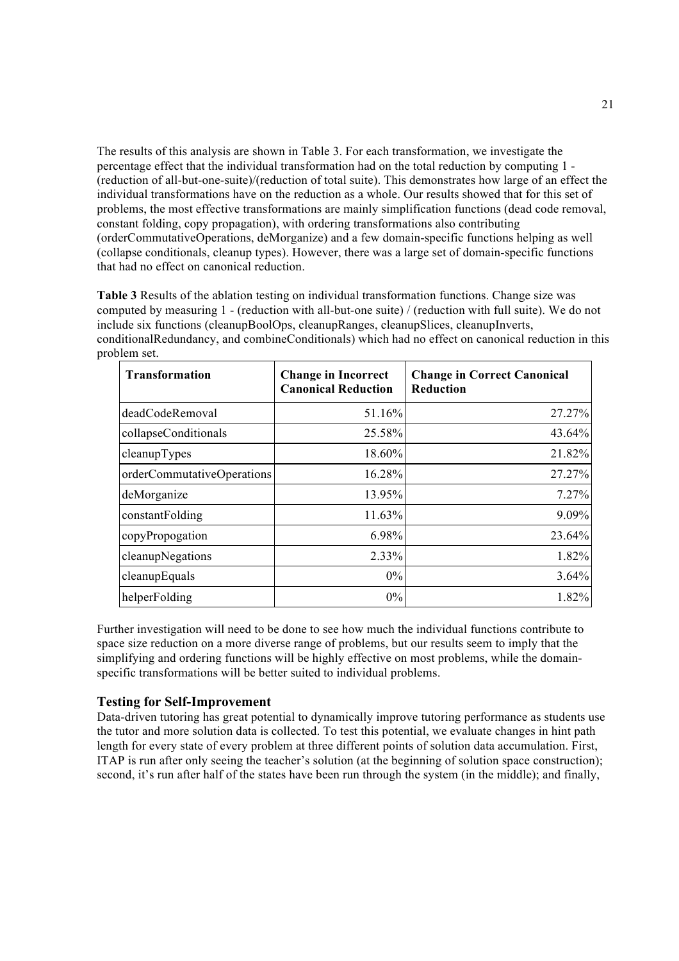The results of this analysis are shown in Table 3. For each transformation, we investigate the percentage effect that the individual transformation had on the total reduction by computing 1 - (reduction of all-but-one-suite)/(reduction of total suite). This demonstrates how large of an effect the individual transformations have on the reduction as a whole. Our results showed that for this set of problems, the most effective transformations are mainly simplification functions (dead code removal, constant folding, copy propagation), with ordering transformations also contributing (orderCommutativeOperations, deMorganize) and a few domain-specific functions helping as well (collapse conditionals, cleanup types). However, there was a large set of domain-specific functions that had no effect on canonical reduction.

**Table 3** Results of the ablation testing on individual transformation functions. Change size was computed by measuring 1 - (reduction with all-but-one suite) / (reduction with full suite). We do not include six functions (cleanupBoolOps, cleanupRanges, cleanupSlices, cleanupInverts, conditionalRedundancy, and combineConditionals) which had no effect on canonical reduction in this problem set.

| <b>Transformation</b>      | <b>Change in Incorrect</b><br><b>Canonical Reduction</b> | <b>Change in Correct Canonical</b><br><b>Reduction</b> |
|----------------------------|----------------------------------------------------------|--------------------------------------------------------|
| deadCodeRemoval            | 51.16%                                                   | 27.27%                                                 |
| collapseConditionals       | 25.58%                                                   | 43.64%                                                 |
| cleanupTypes               | 18.60%                                                   | 21.82%                                                 |
| orderCommutativeOperations | 16.28%                                                   | 27.27%                                                 |
| deMorganize                | 13.95%                                                   | 7.27%                                                  |
| constantFolding            | 11.63%                                                   | 9.09%                                                  |
| copyPropogation            | 6.98%                                                    | 23.64%                                                 |
| cleanupNegations           | 2.33%                                                    | 1.82%                                                  |
| cleanupEquals              | $0\%$                                                    | 3.64%                                                  |
| helperFolding              | $0\%$                                                    | 1.82%                                                  |

Further investigation will need to be done to see how much the individual functions contribute to space size reduction on a more diverse range of problems, but our results seem to imply that the simplifying and ordering functions will be highly effective on most problems, while the domainspecific transformations will be better suited to individual problems.

# **Testing for Self-Improvement**

Data-driven tutoring has great potential to dynamically improve tutoring performance as students use the tutor and more solution data is collected. To test this potential, we evaluate changes in hint path length for every state of every problem at three different points of solution data accumulation. First, ITAP is run after only seeing the teacher's solution (at the beginning of solution space construction); second, it's run after half of the states have been run through the system (in the middle); and finally,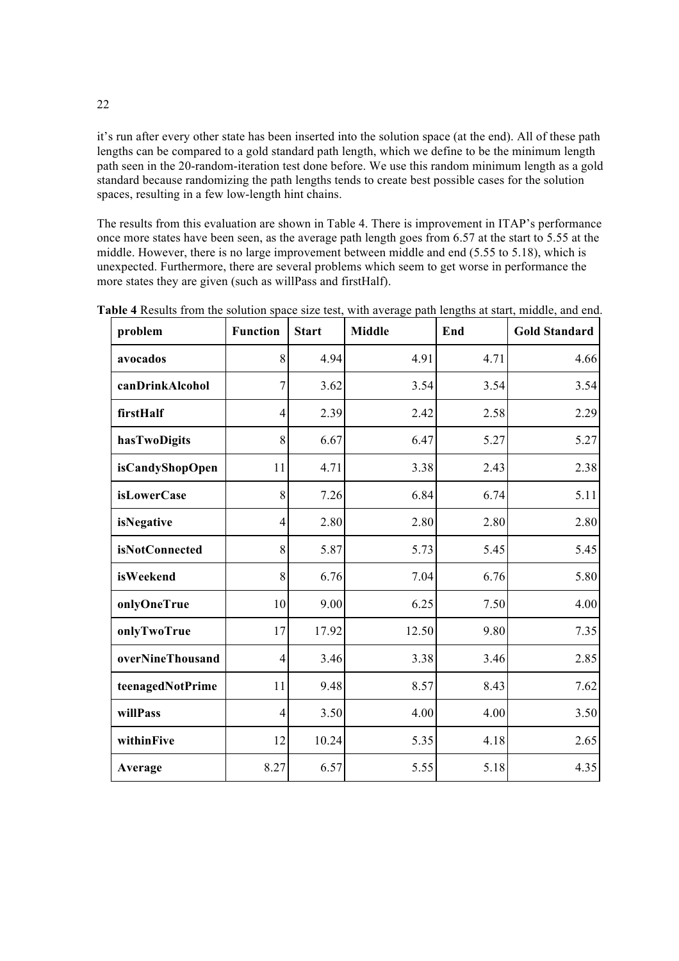it's run after every other state has been inserted into the solution space (at the end). All of these path lengths can be compared to a gold standard path length, which we define to be the minimum length path seen in the 20-random-iteration test done before. We use this random minimum length as a gold standard because randomizing the path lengths tends to create best possible cases for the solution spaces, resulting in a few low-length hint chains.

The results from this evaluation are shown in Table 4. There is improvement in ITAP's performance once more states have been seen, as the average path length goes from 6.57 at the start to 5.55 at the middle. However, there is no large improvement between middle and end (5.55 to 5.18), which is unexpected. Furthermore, there are several problems which seem to get worse in performance the more states they are given (such as willPass and firstHalf).

| problem               | <b>Function</b> | <b>Start</b> | <b>Middle</b> | End  | <b>Gold Standard</b> |
|-----------------------|-----------------|--------------|---------------|------|----------------------|
| avocados              | 8               | 4.94         | 4.91          | 4.71 | 4.66                 |
| canDrinkAlcohol       | $\overline{7}$  | 3.62         | 3.54          | 3.54 | 3.54                 |
| firstHalf             | $\overline{4}$  | 2.39         | 2.42          | 2.58 | 2.29                 |
| hasTwoDigits          | 8               | 6.67         | 6.47          | 5.27 | 5.27                 |
| isCandyShopOpen       | 11              | 4.71         | 3.38          | 2.43 | 2.38                 |
| <b>isLowerCase</b>    | 8               | 7.26         | 6.84          | 6.74 | 5.11                 |
| isNegative            | $\overline{4}$  | 2.80         | 2.80          | 2.80 | 2.80                 |
| <b>isNotConnected</b> | 8               | 5.87         | 5.73          | 5.45 | 5.45                 |
| isWeekend             | 8               | 6.76         | 7.04          | 6.76 | 5.80                 |
| onlyOneTrue           | 10              | 9.00         | 6.25          | 7.50 | 4.00                 |
| onlyTwoTrue           | 17              | 17.92        | 12.50         | 9.80 | 7.35                 |
| overNineThousand      | $\overline{4}$  | 3.46         | 3.38          | 3.46 | 2.85                 |
| teenagedNotPrime      | 11              | 9.48         | 8.57          | 8.43 | 7.62                 |
| willPass              | $\overline{4}$  | 3.50         | 4.00          | 4.00 | 3.50                 |
| withinFive            | 12              | 10.24        | 5.35          | 4.18 | 2.65                 |
| Average               | 8.27            | 6.57         | 5.55          | 5.18 | 4.35                 |

**Table 4** Results from the solution space size test, with average path lengths at start, middle, and end.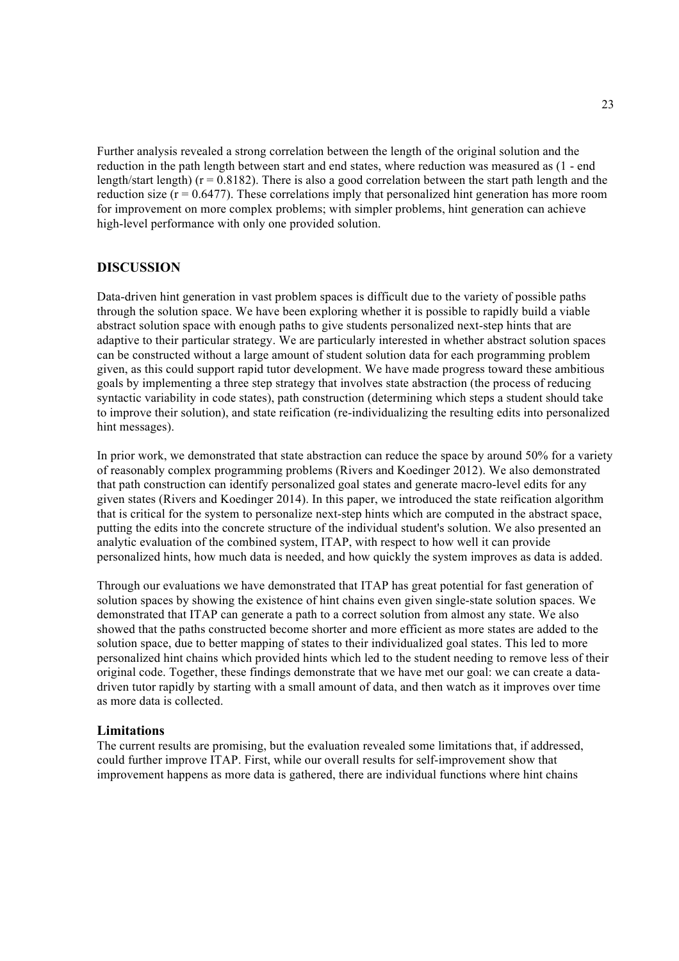Further analysis revealed a strong correlation between the length of the original solution and the reduction in the path length between start and end states, where reduction was measured as (1 - end length/start length) ( $r = 0.8182$ ). There is also a good correlation between the start path length and the reduction size  $(r = 0.6477)$ . These correlations imply that personalized hint generation has more room for improvement on more complex problems; with simpler problems, hint generation can achieve high-level performance with only one provided solution.

## **DISCUSSION**

Data-driven hint generation in vast problem spaces is difficult due to the variety of possible paths through the solution space. We have been exploring whether it is possible to rapidly build a viable abstract solution space with enough paths to give students personalized next-step hints that are adaptive to their particular strategy. We are particularly interested in whether abstract solution spaces can be constructed without a large amount of student solution data for each programming problem given, as this could support rapid tutor development. We have made progress toward these ambitious goals by implementing a three step strategy that involves state abstraction (the process of reducing syntactic variability in code states), path construction (determining which steps a student should take to improve their solution), and state reification (re-individualizing the resulting edits into personalized hint messages).

In prior work, we demonstrated that state abstraction can reduce the space by around 50% for a variety of reasonably complex programming problems (Rivers and Koedinger 2012). We also demonstrated that path construction can identify personalized goal states and generate macro-level edits for any given states (Rivers and Koedinger 2014). In this paper, we introduced the state reification algorithm that is critical for the system to personalize next-step hints which are computed in the abstract space, putting the edits into the concrete structure of the individual student's solution. We also presented an analytic evaluation of the combined system, ITAP, with respect to how well it can provide personalized hints, how much data is needed, and how quickly the system improves as data is added.

Through our evaluations we have demonstrated that ITAP has great potential for fast generation of solution spaces by showing the existence of hint chains even given single-state solution spaces. We demonstrated that ITAP can generate a path to a correct solution from almost any state. We also showed that the paths constructed become shorter and more efficient as more states are added to the solution space, due to better mapping of states to their individualized goal states. This led to more personalized hint chains which provided hints which led to the student needing to remove less of their original code. Together, these findings demonstrate that we have met our goal: we can create a datadriven tutor rapidly by starting with a small amount of data, and then watch as it improves over time as more data is collected.

## **Limitations**

The current results are promising, but the evaluation revealed some limitations that, if addressed, could further improve ITAP. First, while our overall results for self-improvement show that improvement happens as more data is gathered, there are individual functions where hint chains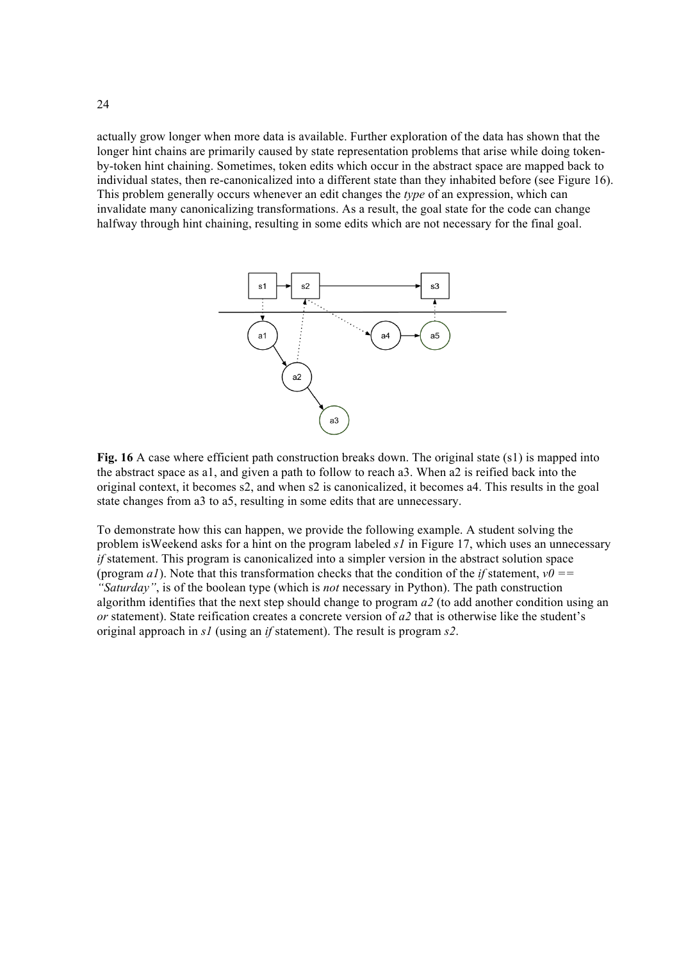actually grow longer when more data is available. Further exploration of the data has shown that the longer hint chains are primarily caused by state representation problems that arise while doing tokenby-token hint chaining. Sometimes, token edits which occur in the abstract space are mapped back to individual states, then re-canonicalized into a different state than they inhabited before (see Figure 16). This problem generally occurs whenever an edit changes the *type* of an expression, which can invalidate many canonicalizing transformations. As a result, the goal state for the code can change halfway through hint chaining, resulting in some edits which are not necessary for the final goal.



**Fig. 16** A case where efficient path construction breaks down. The original state (s1) is mapped into the abstract space as a1, and given a path to follow to reach a3. When a2 is reified back into the original context, it becomes s2, and when s2 is canonicalized, it becomes a4. This results in the goal state changes from a3 to a5, resulting in some edits that are unnecessary.

To demonstrate how this can happen, we provide the following example. A student solving the problem isWeekend asks for a hint on the program labeled *s1* in Figure 17, which uses an unnecessary *if* statement. This program is canonicalized into a simpler version in the abstract solution space (program *a1*). Note that this transformation checks that the condition of the *if* statement,  $v\hat{\theta} = -$ *"Saturday"*, is of the boolean type (which is *not* necessary in Python). The path construction algorithm identifies that the next step should change to program *a2* (to add another condition using an *or* statement). State reification creates a concrete version of *a2* that is otherwise like the student's original approach in *s1* (using an *if* statement). The result is program *s2*.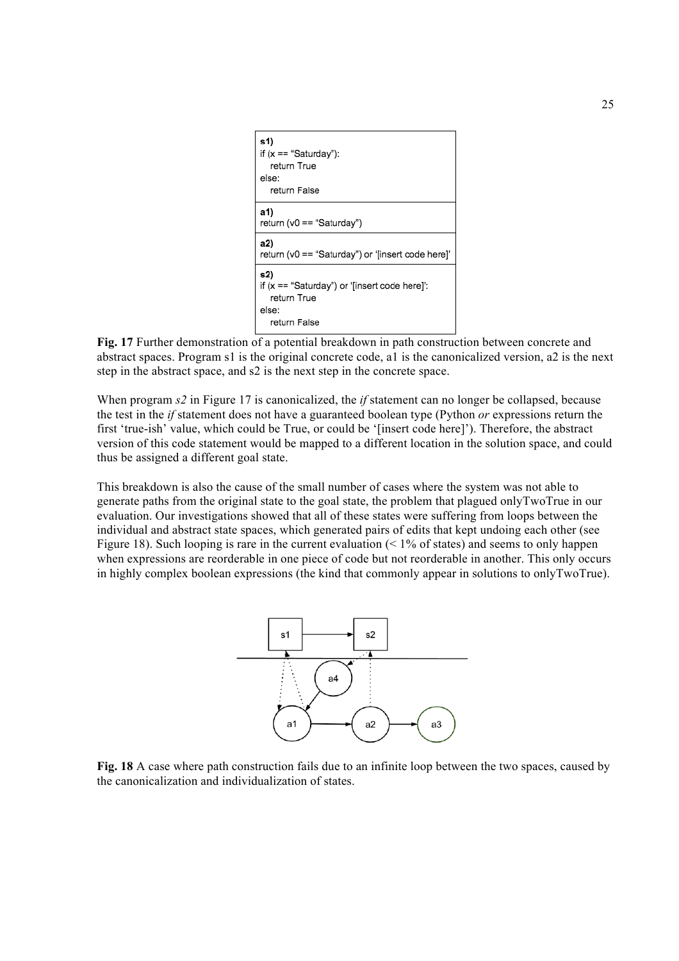

**Fig. 17** Further demonstration of a potential breakdown in path construction between concrete and abstract spaces. Program s1 is the original concrete code, a1 is the canonicalized version, a2 is the next step in the abstract space, and s2 is the next step in the concrete space.

When program *s2* in Figure 17 is canonicalized, the *if* statement can no longer be collapsed, because the test in the *if* statement does not have a guaranteed boolean type (Python *or* expressions return the first 'true-ish' value, which could be True, or could be '[insert code here]'). Therefore, the abstract version of this code statement would be mapped to a different location in the solution space, and could thus be assigned a different goal state.

This breakdown is also the cause of the small number of cases where the system was not able to generate paths from the original state to the goal state, the problem that plagued onlyTwoTrue in our evaluation. Our investigations showed that all of these states were suffering from loops between the individual and abstract state spaces, which generated pairs of edits that kept undoing each other (see Figure 18). Such looping is rare in the current evaluation  $($  < 1% of states) and seems to only happen when expressions are reorderable in one piece of code but not reorderable in another. This only occurs in highly complex boolean expressions (the kind that commonly appear in solutions to onlyTwoTrue).



**Fig. 18** A case where path construction fails due to an infinite loop between the two spaces, caused by the canonicalization and individualization of states.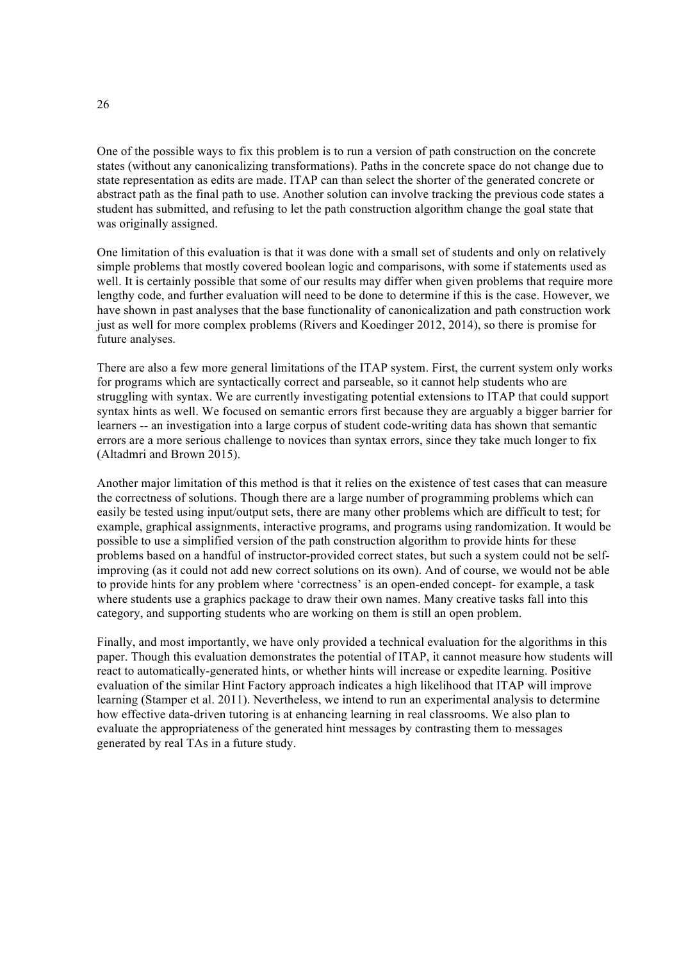One of the possible ways to fix this problem is to run a version of path construction on the concrete states (without any canonicalizing transformations). Paths in the concrete space do not change due to state representation as edits are made. ITAP can than select the shorter of the generated concrete or abstract path as the final path to use. Another solution can involve tracking the previous code states a student has submitted, and refusing to let the path construction algorithm change the goal state that was originally assigned.

One limitation of this evaluation is that it was done with a small set of students and only on relatively simple problems that mostly covered boolean logic and comparisons, with some if statements used as well. It is certainly possible that some of our results may differ when given problems that require more lengthy code, and further evaluation will need to be done to determine if this is the case. However, we have shown in past analyses that the base functionality of canonicalization and path construction work just as well for more complex problems (Rivers and Koedinger 2012, 2014), so there is promise for future analyses.

There are also a few more general limitations of the ITAP system. First, the current system only works for programs which are syntactically correct and parseable, so it cannot help students who are struggling with syntax. We are currently investigating potential extensions to ITAP that could support syntax hints as well. We focused on semantic errors first because they are arguably a bigger barrier for learners -- an investigation into a large corpus of student code-writing data has shown that semantic errors are a more serious challenge to novices than syntax errors, since they take much longer to fix (Altadmri and Brown 2015).

Another major limitation of this method is that it relies on the existence of test cases that can measure the correctness of solutions. Though there are a large number of programming problems which can easily be tested using input/output sets, there are many other problems which are difficult to test; for example, graphical assignments, interactive programs, and programs using randomization. It would be possible to use a simplified version of the path construction algorithm to provide hints for these problems based on a handful of instructor-provided correct states, but such a system could not be selfimproving (as it could not add new correct solutions on its own). And of course, we would not be able to provide hints for any problem where 'correctness' is an open-ended concept- for example, a task where students use a graphics package to draw their own names. Many creative tasks fall into this category, and supporting students who are working on them is still an open problem.

Finally, and most importantly, we have only provided a technical evaluation for the algorithms in this paper. Though this evaluation demonstrates the potential of ITAP, it cannot measure how students will react to automatically-generated hints, or whether hints will increase or expedite learning. Positive evaluation of the similar Hint Factory approach indicates a high likelihood that ITAP will improve learning (Stamper et al. 2011). Nevertheless, we intend to run an experimental analysis to determine how effective data-driven tutoring is at enhancing learning in real classrooms. We also plan to evaluate the appropriateness of the generated hint messages by contrasting them to messages generated by real TAs in a future study.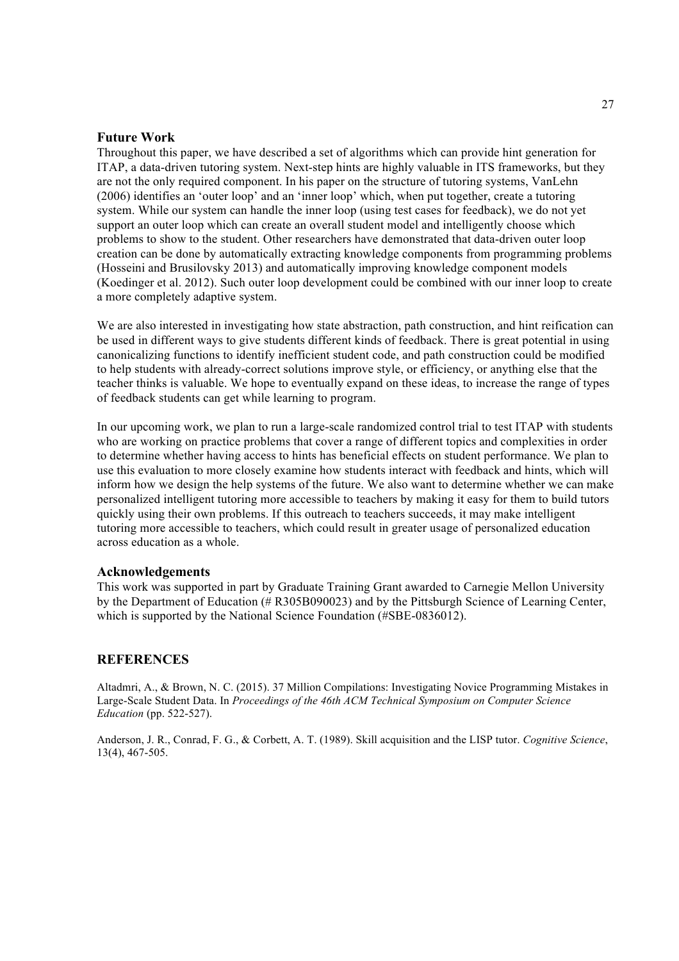#### **Future Work**

Throughout this paper, we have described a set of algorithms which can provide hint generation for ITAP, a data-driven tutoring system. Next-step hints are highly valuable in ITS frameworks, but they are not the only required component. In his paper on the structure of tutoring systems, VanLehn (2006) identifies an 'outer loop' and an 'inner loop' which, when put together, create a tutoring system. While our system can handle the inner loop (using test cases for feedback), we do not yet support an outer loop which can create an overall student model and intelligently choose which problems to show to the student. Other researchers have demonstrated that data-driven outer loop creation can be done by automatically extracting knowledge components from programming problems (Hosseini and Brusilovsky 2013) and automatically improving knowledge component models (Koedinger et al. 2012). Such outer loop development could be combined with our inner loop to create a more completely adaptive system.

We are also interested in investigating how state abstraction, path construction, and hint reification can be used in different ways to give students different kinds of feedback. There is great potential in using canonicalizing functions to identify inefficient student code, and path construction could be modified to help students with already-correct solutions improve style, or efficiency, or anything else that the teacher thinks is valuable. We hope to eventually expand on these ideas, to increase the range of types of feedback students can get while learning to program.

In our upcoming work, we plan to run a large-scale randomized control trial to test ITAP with students who are working on practice problems that cover a range of different topics and complexities in order to determine whether having access to hints has beneficial effects on student performance. We plan to use this evaluation to more closely examine how students interact with feedback and hints, which will inform how we design the help systems of the future. We also want to determine whether we can make personalized intelligent tutoring more accessible to teachers by making it easy for them to build tutors quickly using their own problems. If this outreach to teachers succeeds, it may make intelligent tutoring more accessible to teachers, which could result in greater usage of personalized education across education as a whole.

#### **Acknowledgements**

This work was supported in part by Graduate Training Grant awarded to Carnegie Mellon University by the Department of Education (# R305B090023) and by the Pittsburgh Science of Learning Center, which is supported by the National Science Foundation (#SBE-0836012).

#### **REFERENCES**

Altadmri, A., & Brown, N. C. (2015). 37 Million Compilations: Investigating Novice Programming Mistakes in Large-Scale Student Data. In *Proceedings of the 46th ACM Technical Symposium on Computer Science Education* (pp. 522-527).

Anderson, J. R., Conrad, F. G., & Corbett, A. T. (1989). Skill acquisition and the LISP tutor. *Cognitive Science*, 13(4), 467-505.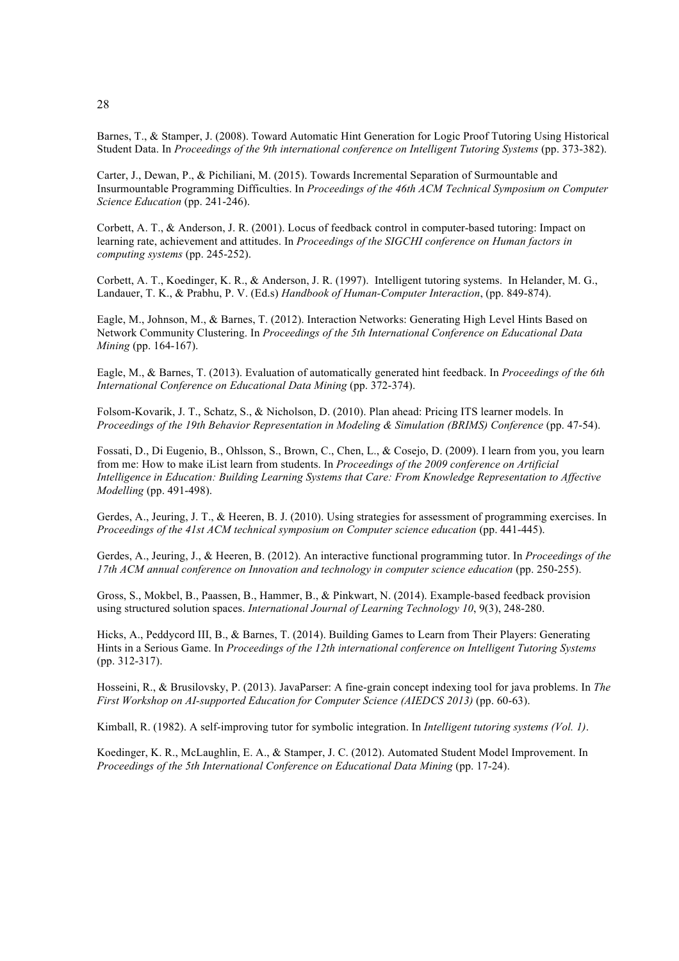Barnes, T., & Stamper, J. (2008). Toward Automatic Hint Generation for Logic Proof Tutoring Using Historical Student Data. In *Proceedings of the 9th international conference on Intelligent Tutoring Systems* (pp. 373-382).

Carter, J., Dewan, P., & Pichiliani, M. (2015). Towards Incremental Separation of Surmountable and Insurmountable Programming Difficulties. In *Proceedings of the 46th ACM Technical Symposium on Computer Science Education* (pp. 241-246).

Corbett, A. T., & Anderson, J. R. (2001). Locus of feedback control in computer-based tutoring: Impact on learning rate, achievement and attitudes. In *Proceedings of the SIGCHI conference on Human factors in computing systems* (pp. 245-252).

Corbett, A. T., Koedinger, K. R., & Anderson, J. R. (1997). Intelligent tutoring systems. In Helander, M. G., Landauer, T. K., & Prabhu, P. V. (Ed.s) *Handbook of Human-Computer Interaction*, (pp. 849-874).

Eagle, M., Johnson, M., & Barnes, T. (2012). Interaction Networks: Generating High Level Hints Based on Network Community Clustering. In *Proceedings of the 5th International Conference on Educational Data Mining* (pp. 164-167).

Eagle, M., & Barnes, T. (2013). Evaluation of automatically generated hint feedback. In *Proceedings of the 6th International Conference on Educational Data Mining* (pp. 372-374).

Folsom-Kovarik, J. T., Schatz, S., & Nicholson, D. (2010). Plan ahead: Pricing ITS learner models. In *Proceedings of the 19th Behavior Representation in Modeling & Simulation (BRIMS) Conference* (pp. 47-54).

Fossati, D., Di Eugenio, B., Ohlsson, S., Brown, C., Chen, L., & Cosejo, D. (2009). I learn from you, you learn from me: How to make iList learn from students. In *Proceedings of the 2009 conference on Artificial Intelligence in Education: Building Learning Systems that Care: From Knowledge Representation to Affective Modelling* (pp. 491-498).

Gerdes, A., Jeuring, J. T., & Heeren, B. J. (2010). Using strategies for assessment of programming exercises. In *Proceedings of the 41st ACM technical symposium on Computer science education* (pp. 441-445).

Gerdes, A., Jeuring, J., & Heeren, B. (2012). An interactive functional programming tutor. In *Proceedings of the 17th ACM annual conference on Innovation and technology in computer science education* (pp. 250-255).

Gross, S., Mokbel, B., Paassen, B., Hammer, B., & Pinkwart, N. (2014). Example-based feedback provision using structured solution spaces. *International Journal of Learning Technology 10*, 9(3), 248-280.

Hicks, A., Peddycord III, B., & Barnes, T. (2014). Building Games to Learn from Their Players: Generating Hints in a Serious Game. In *Proceedings of the 12th international conference on Intelligent Tutoring Systems* (pp. 312-317).

Hosseini, R., & Brusilovsky, P. (2013). JavaParser: A fine-grain concept indexing tool for java problems. In *The First Workshop on AI-supported Education for Computer Science (AIEDCS 2013)* (pp. 60-63).

Kimball, R. (1982). A self-improving tutor for symbolic integration. In *Intelligent tutoring systems (Vol. 1)*.

Koedinger, K. R., McLaughlin, E. A., & Stamper, J. C. (2012). Automated Student Model Improvement. In *Proceedings of the 5th International Conference on Educational Data Mining* (pp. 17-24).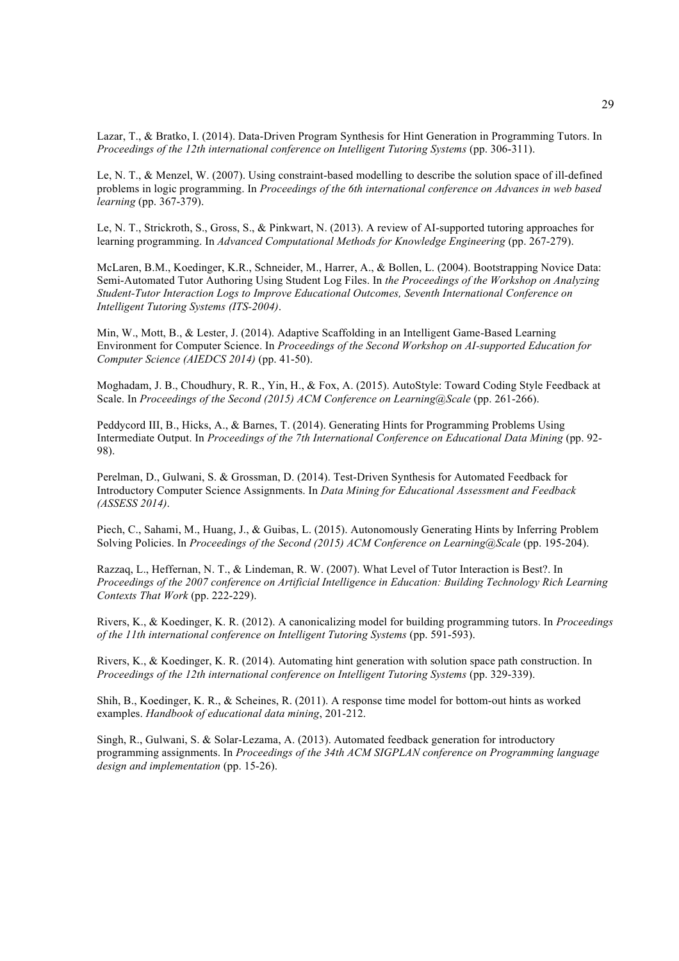Lazar, T., & Bratko, I. (2014). Data-Driven Program Synthesis for Hint Generation in Programming Tutors. In *Proceedings of the 12th international conference on Intelligent Tutoring Systems* (pp. 306-311).

Le, N. T., & Menzel, W. (2007). Using constraint-based modelling to describe the solution space of ill-defined problems in logic programming. In *Proceedings of the 6th international conference on Advances in web based learning* (pp. 367-379).

Le, N. T., Strickroth, S., Gross, S., & Pinkwart, N. (2013). A review of AI-supported tutoring approaches for learning programming. In *Advanced Computational Methods for Knowledge Engineering* (pp. 267-279).

McLaren, B.M., Koedinger, K.R., Schneider, M., Harrer, A., & Bollen, L. (2004). Bootstrapping Novice Data: Semi-Automated Tutor Authoring Using Student Log Files. In *the Proceedings of the Workshop on Analyzing Student-Tutor Interaction Logs to Improve Educational Outcomes, Seventh International Conference on Intelligent Tutoring Systems (ITS-2004)*.

Min, W., Mott, B., & Lester, J. (2014). Adaptive Scaffolding in an Intelligent Game-Based Learning Environment for Computer Science. In *Proceedings of the Second Workshop on AI-supported Education for Computer Science (AIEDCS 2014)* (pp. 41-50).

Moghadam, J. B., Choudhury, R. R., Yin, H., & Fox, A. (2015). AutoStyle: Toward Coding Style Feedback at Scale. In *Proceedings of the Second (2015) ACM Conference on Learning@Scale* (pp. 261-266).

Peddycord III, B., Hicks, A., & Barnes, T. (2014). Generating Hints for Programming Problems Using Intermediate Output. In *Proceedings of the 7th International Conference on Educational Data Mining* (pp. 92- 98).

Perelman, D., Gulwani, S. & Grossman, D. (2014). Test-Driven Synthesis for Automated Feedback for Introductory Computer Science Assignments. In *Data Mining for Educational Assessment and Feedback (ASSESS 2014)*.

Piech, C., Sahami, M., Huang, J., & Guibas, L. (2015). Autonomously Generating Hints by Inferring Problem Solving Policies. In *Proceedings of the Second (2015) ACM Conference on Learning@Scale* (pp. 195-204).

Razzaq, L., Heffernan, N. T., & Lindeman, R. W. (2007). What Level of Tutor Interaction is Best?. In *Proceedings of the 2007 conference on Artificial Intelligence in Education: Building Technology Rich Learning Contexts That Work* (pp. 222-229).

Rivers, K., & Koedinger, K. R. (2012). A canonicalizing model for building programming tutors. In *Proceedings of the 11th international conference on Intelligent Tutoring Systems* (pp. 591-593).

Rivers, K., & Koedinger, K. R. (2014). Automating hint generation with solution space path construction. In *Proceedings of the 12th international conference on Intelligent Tutoring Systems* (pp. 329-339).

Shih, B., Koedinger, K. R., & Scheines, R. (2011). A response time model for bottom-out hints as worked examples. *Handbook of educational data mining*, 201-212.

Singh, R., Gulwani, S. & Solar-Lezama, A. (2013). Automated feedback generation for introductory programming assignments. In *Proceedings of the 34th ACM SIGPLAN conference on Programming language design and implementation* (pp. 15-26).